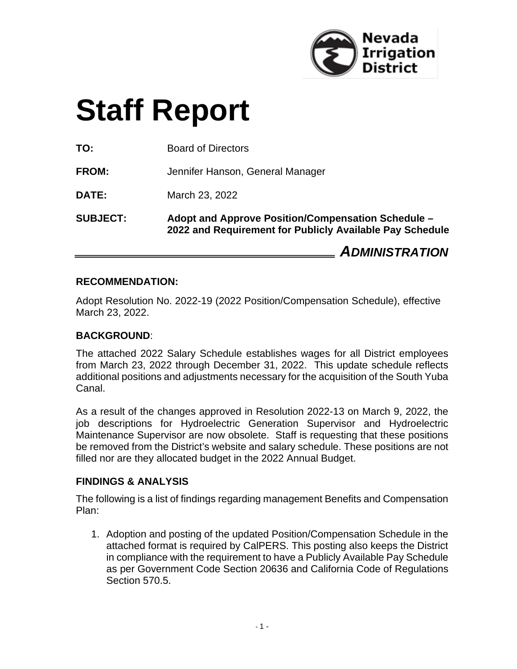

# **Staff Report**

**TO:** Board of Directors

**FROM:** Jennifer Hanson, General Manager

**DATE:** March 23, 2022

**SUBJECT: Adopt and Approve Position/Compensation Schedule – 2022 and Requirement for Publicly Available Pay Schedule** 

*ADMINISTRATION*

#### **RECOMMENDATION:**

Adopt Resolution No. 2022-19 (2022 Position/Compensation Schedule), effective March 23, 2022.

#### **BACKGROUND**:

The attached 2022 Salary Schedule establishes wages for all District employees from March 23, 2022 through December 31, 2022. This update schedule reflects additional positions and adjustments necessary for the acquisition of the South Yuba Canal.

As a result of the changes approved in Resolution 2022-13 on March 9, 2022, the job descriptions for Hydroelectric Generation Supervisor and Hydroelectric Maintenance Supervisor are now obsolete. Staff is requesting that these positions be removed from the District's website and salary schedule. These positions are not filled nor are they allocated budget in the 2022 Annual Budget.

#### **FINDINGS & ANALYSIS**

The following is a list of findings regarding management Benefits and Compensation Plan:

1. Adoption and posting of the updated Position/Compensation Schedule in the attached format is required by CalPERS. This posting also keeps the District in compliance with the requirement to have a Publicly Available Pay Schedule as per Government Code Section 20636 and California Code of Regulations Section 570.5.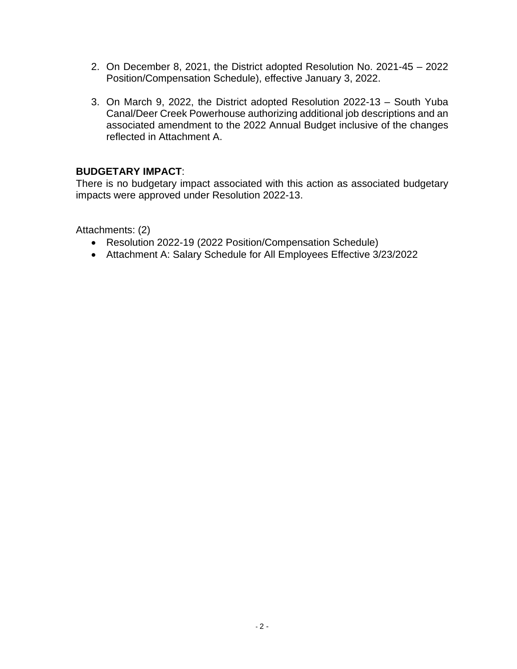- 2. On December 8, 2021, the District adopted Resolution No. 2021-45 2022 Position/Compensation Schedule), effective January 3, 2022.
- 3. On March 9, 2022, the District adopted Resolution 2022-13 South Yuba Canal/Deer Creek Powerhouse authorizing additional job descriptions and an associated amendment to the 2022 Annual Budget inclusive of the changes reflected in Attachment A.

#### **BUDGETARY IMPACT**:

There is no budgetary impact associated with this action as associated budgetary impacts were approved under Resolution 2022-13.

Attachments: (2)

- Resolution 2022-19 (2022 Position/Compensation Schedule)
- Attachment A: Salary Schedule for All Employees Effective 3/23/2022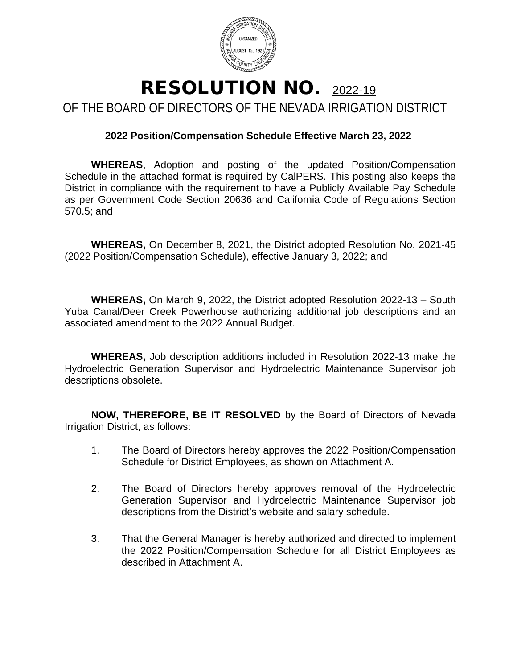

#### RESOLUTION NO. 2022-19 OF THE BOARD OF DIRECTORS OF THE NEVADA IRRIGATION DISTRICT

#### **2022 Position/Compensation Schedule Effective March 23, 2022**

**WHEREAS**, Adoption and posting of the updated Position/Compensation Schedule in the attached format is required by CalPERS. This posting also keeps the District in compliance with the requirement to have a Publicly Available Pay Schedule as per Government Code Section 20636 and California Code of Regulations Section 570.5; and

**WHEREAS,** On December 8, 2021, the District adopted Resolution No. 2021-45 (2022 Position/Compensation Schedule), effective January 3, 2022; and

**WHEREAS,** On March 9, 2022, the District adopted Resolution 2022-13 – South Yuba Canal/Deer Creek Powerhouse authorizing additional job descriptions and an associated amendment to the 2022 Annual Budget.

**WHEREAS,** Job description additions included in Resolution 2022-13 make the Hydroelectric Generation Supervisor and Hydroelectric Maintenance Supervisor job descriptions obsolete.

**NOW, THEREFORE, BE IT RESOLVED** by the Board of Directors of Nevada Irrigation District, as follows:

- 1. The Board of Directors hereby approves the 2022 Position/Compensation Schedule for District Employees, as shown on Attachment A.
- 2. The Board of Directors hereby approves removal of the Hydroelectric Generation Supervisor and Hydroelectric Maintenance Supervisor job descriptions from the District's website and salary schedule.
- 3. That the General Manager is hereby authorized and directed to implement the 2022 Position/Compensation Schedule for all District Employees as described in Attachment A.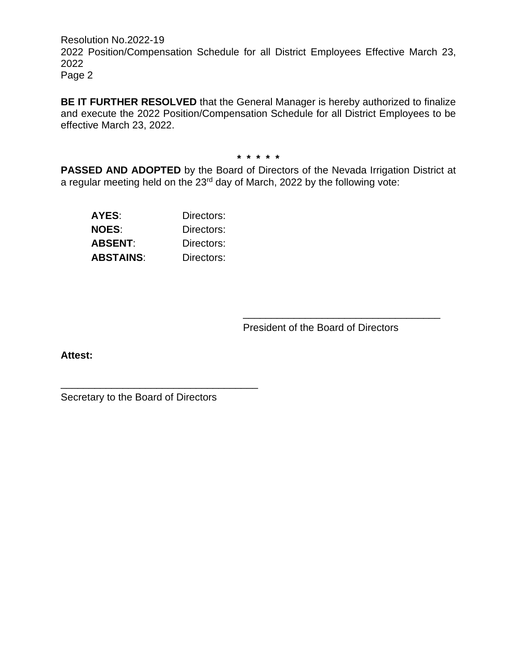Resolution No.2022-19 2022 Position/Compensation Schedule for all District Employees Effective March 23, 2022 Page 2

**BE IT FURTHER RESOLVED** that the General Manager is hereby authorized to finalize and execute the 2022 Position/Compensation Schedule for all District Employees to be effective March 23, 2022.

**\* \* \* \* \***

**PASSED AND ADOPTED** by the Board of Directors of the Nevada Irrigation District at a regular meeting held on the 23rd day of March, 2022 by the following vote:

| AYES:            | Directors: |
|------------------|------------|
| <b>NOES:</b>     | Directors: |
| ABSENT:          | Directors: |
| <b>ABSTAINS:</b> | Directors: |

President of the Board of Directors

\_\_\_\_\_\_\_\_\_\_\_\_\_\_\_\_\_\_\_\_\_\_\_\_\_\_\_\_\_\_\_\_\_\_\_

**Attest:**

Secretary to the Board of Directors

\_\_\_\_\_\_\_\_\_\_\_\_\_\_\_\_\_\_\_\_\_\_\_\_\_\_\_\_\_\_\_\_\_\_\_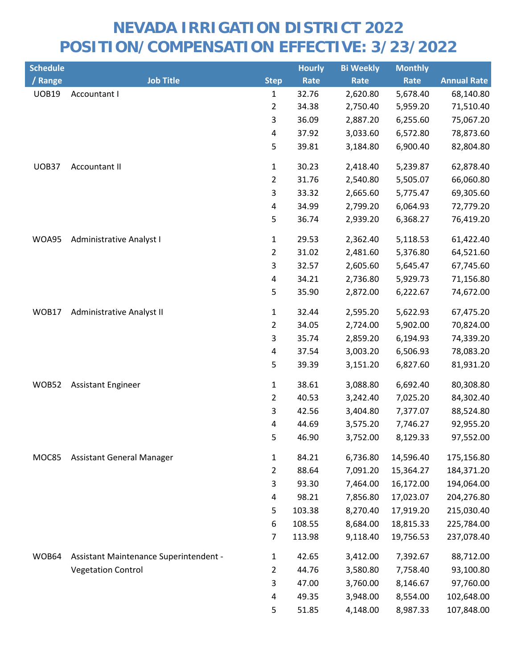| <b>Schedule</b> |                                        |                         | <b>Hourly</b> | <b>Bi Weekly</b> | <b>Monthly</b> |                    |
|-----------------|----------------------------------------|-------------------------|---------------|------------------|----------------|--------------------|
| / Range         | <b>Job Title</b>                       | <b>Step</b>             | Rate          | Rate             | Rate           | <b>Annual Rate</b> |
| <b>UOB19</b>    | Accountant I                           | $\mathbf{1}$            | 32.76         | 2,620.80         | 5,678.40       | 68,140.80          |
|                 |                                        | $\overline{2}$          | 34.38         | 2,750.40         | 5,959.20       | 71,510.40          |
|                 |                                        | 3                       | 36.09         | 2,887.20         | 6,255.60       | 75,067.20          |
|                 |                                        | $\overline{\mathbf{4}}$ | 37.92         | 3,033.60         | 6,572.80       | 78,873.60          |
|                 |                                        | 5                       | 39.81         | 3,184.80         | 6,900.40       | 82,804.80          |
| UOB37           | Accountant II                          | $\mathbf{1}$            | 30.23         | 2,418.40         | 5,239.87       | 62,878.40          |
|                 |                                        | $\overline{2}$          | 31.76         | 2,540.80         | 5,505.07       | 66,060.80          |
|                 |                                        | 3                       | 33.32         | 2,665.60         | 5,775.47       | 69,305.60          |
|                 |                                        | 4                       | 34.99         | 2,799.20         | 6,064.93       | 72,779.20          |
|                 |                                        | 5                       | 36.74         | 2,939.20         | 6,368.27       | 76,419.20          |
| WOA95           | <b>Administrative Analyst I</b>        | $\mathbf{1}$            | 29.53         | 2,362.40         | 5,118.53       | 61,422.40          |
|                 |                                        | $\overline{2}$          | 31.02         | 2,481.60         | 5,376.80       | 64,521.60          |
|                 |                                        | 3                       | 32.57         | 2,605.60         | 5,645.47       | 67,745.60          |
|                 |                                        | $\overline{\mathbf{4}}$ | 34.21         | 2,736.80         | 5,929.73       | 71,156.80          |
|                 |                                        | 5                       | 35.90         | 2,872.00         | 6,222.67       | 74,672.00          |
| WOB17           | Administrative Analyst II              | $\mathbf{1}$            | 32.44         | 2,595.20         | 5,622.93       | 67,475.20          |
|                 |                                        | $\overline{2}$          | 34.05         | 2,724.00         | 5,902.00       | 70,824.00          |
|                 |                                        | 3                       | 35.74         | 2,859.20         | 6,194.93       | 74,339.20          |
|                 |                                        | $\overline{\mathbf{4}}$ | 37.54         | 3,003.20         | 6,506.93       | 78,083.20          |
|                 |                                        | 5                       | 39.39         | 3,151.20         | 6,827.60       | 81,931.20          |
| WOB52           | <b>Assistant Engineer</b>              | $\mathbf 1$             | 38.61         | 3,088.80         | 6,692.40       | 80,308.80          |
|                 |                                        | $\overline{2}$          | 40.53         | 3,242.40         | 7,025.20       | 84,302.40          |
|                 |                                        | 3                       | 42.56         | 3,404.80         | 7,377.07       | 88,524.80          |
|                 |                                        | 4                       | 44.69         | 3,575.20         | 7,746.27       | 92,955.20          |
|                 |                                        | 5                       | 46.90         | 3,752.00         | 8,129.33       | 97,552.00          |
| MOC85           | <b>Assistant General Manager</b>       | $\mathbf{1}$            | 84.21         | 6,736.80         | 14,596.40      | 175,156.80         |
|                 |                                        | $\overline{2}$          | 88.64         | 7,091.20         | 15,364.27      | 184,371.20         |
|                 |                                        | 3                       | 93.30         | 7,464.00         | 16,172.00      | 194,064.00         |
|                 |                                        | 4                       | 98.21         | 7,856.80         | 17,023.07      | 204,276.80         |
|                 |                                        | 5                       | 103.38        | 8,270.40         | 17,919.20      | 215,030.40         |
|                 |                                        | 6                       | 108.55        | 8,684.00         | 18,815.33      | 225,784.00         |
|                 |                                        | $\overline{7}$          | 113.98        | 9,118.40         | 19,756.53      | 237,078.40         |
| WOB64           | Assistant Maintenance Superintendent - | $\mathbf{1}$            | 42.65         | 3,412.00         | 7,392.67       | 88,712.00          |
|                 | <b>Vegetation Control</b>              | $\overline{2}$          | 44.76         | 3,580.80         | 7,758.40       | 93,100.80          |
|                 |                                        | 3                       | 47.00         | 3,760.00         | 8,146.67       | 97,760.00          |
|                 |                                        | 4                       | 49.35         | 3,948.00         | 8,554.00       | 102,648.00         |
|                 |                                        | 5                       | 51.85         | 4,148.00         | 8,987.33       | 107,848.00         |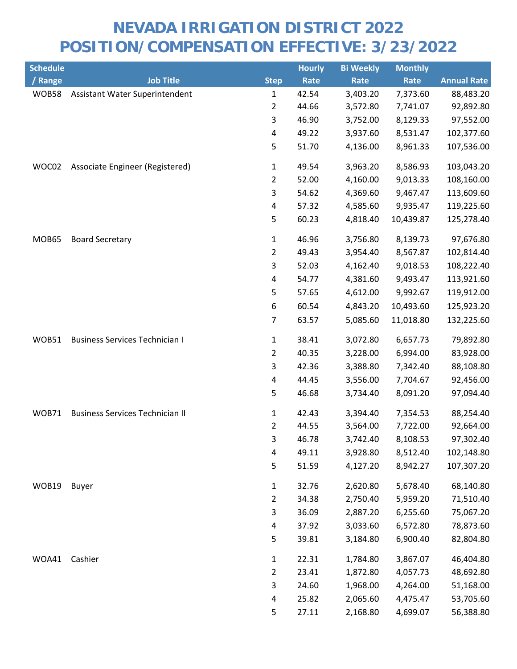| <b>Schedule</b> |                                        |                         | <b>Hourly</b> | <b>Bi Weekly</b> | <b>Monthly</b> |                    |
|-----------------|----------------------------------------|-------------------------|---------------|------------------|----------------|--------------------|
| / Range         | <b>Job Title</b>                       | <b>Step</b>             | Rate          | Rate             | Rate           | <b>Annual Rate</b> |
| WOB58           | Assistant Water Superintendent         | 1                       | 42.54         | 3,403.20         | 7,373.60       | 88,483.20          |
|                 |                                        | $\overline{2}$          | 44.66         | 3,572.80         | 7,741.07       | 92,892.80          |
|                 |                                        | 3                       | 46.90         | 3,752.00         | 8,129.33       | 97,552.00          |
|                 |                                        | $\overline{\mathbf{4}}$ | 49.22         | 3,937.60         | 8,531.47       | 102,377.60         |
|                 |                                        | 5                       | 51.70         | 4,136.00         | 8,961.33       | 107,536.00         |
| WOC02           | Associate Engineer (Registered)        | 1                       | 49.54         | 3,963.20         | 8,586.93       | 103,043.20         |
|                 |                                        | $\overline{2}$          | 52.00         | 4,160.00         | 9,013.33       | 108,160.00         |
|                 |                                        | 3                       | 54.62         | 4,369.60         | 9,467.47       | 113,609.60         |
|                 |                                        | $\overline{\mathbf{4}}$ | 57.32         | 4,585.60         | 9,935.47       | 119,225.60         |
|                 |                                        | 5                       | 60.23         | 4,818.40         | 10,439.87      | 125,278.40         |
| MOB65           | <b>Board Secretary</b>                 | 1                       | 46.96         | 3,756.80         | 8,139.73       | 97,676.80          |
|                 |                                        | $\overline{2}$          | 49.43         | 3,954.40         | 8,567.87       | 102,814.40         |
|                 |                                        | 3                       | 52.03         | 4,162.40         | 9,018.53       | 108,222.40         |
|                 |                                        | 4                       | 54.77         | 4,381.60         | 9,493.47       | 113,921.60         |
|                 |                                        | 5                       | 57.65         | 4,612.00         | 9,992.67       | 119,912.00         |
|                 |                                        | 6                       | 60.54         | 4,843.20         | 10,493.60      | 125,923.20         |
|                 |                                        | $\overline{7}$          | 63.57         | 5,085.60         | 11,018.80      | 132,225.60         |
| WOB51           | <b>Business Services Technician I</b>  | 1                       | 38.41         | 3,072.80         | 6,657.73       | 79,892.80          |
|                 |                                        | $\overline{2}$          | 40.35         | 3,228.00         | 6,994.00       | 83,928.00          |
|                 |                                        | $\mathsf{3}$            | 42.36         | 3,388.80         | 7,342.40       | 88,108.80          |
|                 |                                        | 4                       | 44.45         | 3,556.00         | 7,704.67       | 92,456.00          |
|                 |                                        | 5                       | 46.68         | 3,734.40         | 8,091.20       | 97,094.40          |
| WOB71           | <b>Business Services Technician II</b> | 1                       | 42.43         | 3,394.40         | 7,354.53       | 88,254.40          |
|                 |                                        | $\overline{2}$          | 44.55         | 3,564.00         | 7,722.00       | 92,664.00          |
|                 |                                        | 3                       | 46.78         | 3,742.40         | 8,108.53       | 97,302.40          |
|                 |                                        | 4                       | 49.11         | 3,928.80         | 8,512.40       | 102,148.80         |
|                 |                                        | 5                       | 51.59         | 4,127.20         | 8,942.27       | 107,307.20         |
| WOB19           | <b>Buyer</b>                           | 1                       | 32.76         | 2,620.80         | 5,678.40       | 68,140.80          |
|                 |                                        | $\overline{2}$          | 34.38         | 2,750.40         | 5,959.20       | 71,510.40          |
|                 |                                        | 3                       | 36.09         | 2,887.20         | 6,255.60       | 75,067.20          |
|                 |                                        | 4                       | 37.92         | 3,033.60         | 6,572.80       | 78,873.60          |
|                 |                                        | 5                       | 39.81         | 3,184.80         | 6,900.40       | 82,804.80          |
| WOA41           | Cashier                                | $\mathbf 1$             | 22.31         | 1,784.80         | 3,867.07       | 46,404.80          |
|                 |                                        | $\overline{2}$          | 23.41         | 1,872.80         | 4,057.73       | 48,692.80          |
|                 |                                        | 3                       | 24.60         | 1,968.00         | 4,264.00       | 51,168.00          |
|                 |                                        | 4                       | 25.82         | 2,065.60         | 4,475.47       | 53,705.60          |
|                 |                                        | 5                       | 27.11         | 2,168.80         | 4,699.07       | 56,388.80          |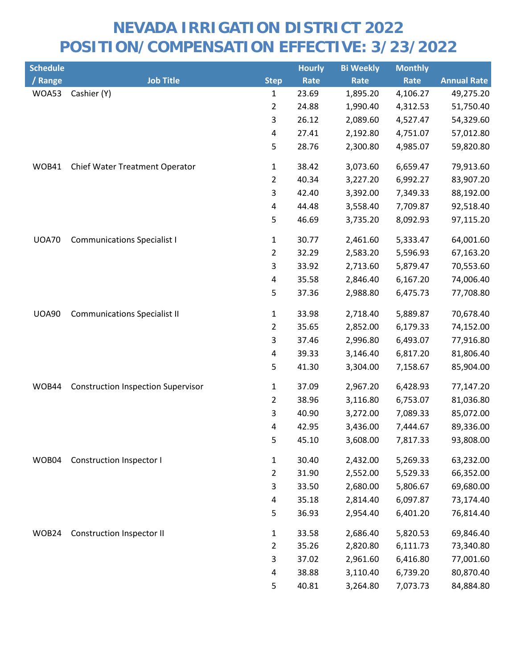| <b>Schedule</b> |                                           |                         | <b>Hourly</b> | <b>Bi Weekly</b> | <b>Monthly</b> |                    |
|-----------------|-------------------------------------------|-------------------------|---------------|------------------|----------------|--------------------|
| / Range         | <b>Job Title</b>                          | <b>Step</b>             | Rate          | Rate             | Rate           | <b>Annual Rate</b> |
| WOA53           | Cashier (Y)                               | 1                       | 23.69         | 1,895.20         | 4,106.27       | 49,275.20          |
|                 |                                           | $\overline{2}$          | 24.88         | 1,990.40         | 4,312.53       | 51,750.40          |
|                 |                                           | 3                       | 26.12         | 2,089.60         | 4,527.47       | 54,329.60          |
|                 |                                           | 4                       | 27.41         | 2,192.80         | 4,751.07       | 57,012.80          |
|                 |                                           | 5                       | 28.76         | 2,300.80         | 4,985.07       | 59,820.80          |
| WOB41           | Chief Water Treatment Operator            | $\mathbf{1}$            | 38.42         | 3,073.60         | 6,659.47       | 79,913.60          |
|                 |                                           | $\overline{2}$          | 40.34         | 3,227.20         | 6,992.27       | 83,907.20          |
|                 |                                           | 3                       | 42.40         | 3,392.00         | 7,349.33       | 88,192.00          |
|                 |                                           | 4                       | 44.48         | 3,558.40         | 7,709.87       | 92,518.40          |
|                 |                                           | 5                       | 46.69         | 3,735.20         | 8,092.93       | 97,115.20          |
| <b>UOA70</b>    | <b>Communications Specialist I</b>        | $\mathbf{1}$            | 30.77         | 2,461.60         | 5,333.47       | 64,001.60          |
|                 |                                           | $\overline{2}$          | 32.29         | 2,583.20         | 5,596.93       | 67,163.20          |
|                 |                                           | 3                       | 33.92         | 2,713.60         | 5,879.47       | 70,553.60          |
|                 |                                           | 4                       | 35.58         | 2,846.40         | 6,167.20       | 74,006.40          |
|                 |                                           | 5                       | 37.36         | 2,988.80         | 6,475.73       | 77,708.80          |
| <b>UOA90</b>    | <b>Communications Specialist II</b>       | $\mathbf{1}$            | 33.98         | 2,718.40         | 5,889.87       | 70,678.40          |
|                 |                                           | $\overline{2}$          | 35.65         | 2,852.00         | 6,179.33       | 74,152.00          |
|                 |                                           | 3                       | 37.46         | 2,996.80         | 6,493.07       | 77,916.80          |
|                 |                                           | 4                       | 39.33         | 3,146.40         | 6,817.20       | 81,806.40          |
|                 |                                           | 5                       | 41.30         | 3,304.00         | 7,158.67       | 85,904.00          |
| WOB44           | <b>Construction Inspection Supervisor</b> | $\mathbf{1}$            | 37.09         | 2,967.20         | 6,428.93       | 77,147.20          |
|                 |                                           | $\overline{2}$          | 38.96         | 3,116.80         | 6,753.07       | 81,036.80          |
|                 |                                           | 3                       | 40.90         | 3,272.00         | 7,089.33       | 85,072.00          |
|                 |                                           | $\overline{\mathbf{4}}$ | 42.95         | 3,436.00         | 7,444.67       | 89,336.00          |
|                 |                                           | 5                       | 45.10         | 3,608.00         | 7,817.33       | 93,808.00          |
| WOB04           | Construction Inspector I                  | $\mathbf{1}$            | 30.40         | 2,432.00         | 5,269.33       | 63,232.00          |
|                 |                                           | $\overline{2}$          | 31.90         | 2,552.00         | 5,529.33       | 66,352.00          |
|                 |                                           | 3                       | 33.50         | 2,680.00         | 5,806.67       | 69,680.00          |
|                 |                                           | 4                       | 35.18         | 2,814.40         | 6,097.87       | 73,174.40          |
|                 |                                           | 5                       | 36.93         | 2,954.40         | 6,401.20       | 76,814.40          |
| WOB24           | <b>Construction Inspector II</b>          | $\mathbf{1}$            | 33.58         | 2,686.40         | 5,820.53       | 69,846.40          |
|                 |                                           | $\overline{2}$          | 35.26         | 2,820.80         | 6,111.73       | 73,340.80          |
|                 |                                           | 3                       | 37.02         | 2,961.60         | 6,416.80       | 77,001.60          |
|                 |                                           | 4                       | 38.88         | 3,110.40         | 6,739.20       | 80,870.40          |
|                 |                                           | 5                       | 40.81         | 3,264.80         | 7,073.73       | 84,884.80          |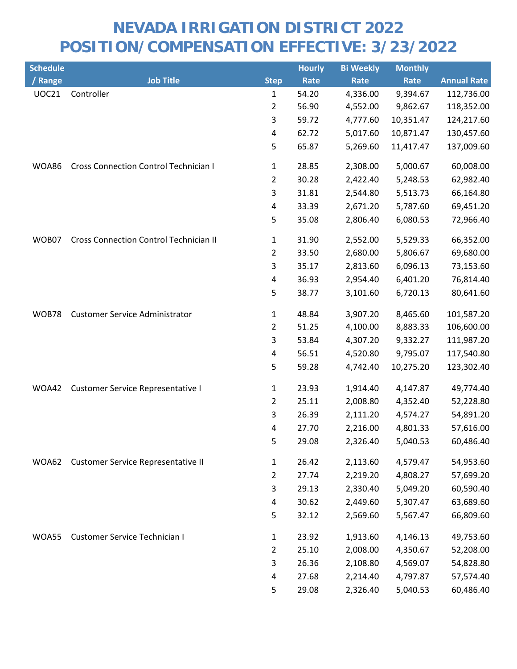| <b>Schedule</b> |                                               |                | <b>Hourly</b> | <b>Bi Weekly</b> | <b>Monthly</b> |                    |
|-----------------|-----------------------------------------------|----------------|---------------|------------------|----------------|--------------------|
| / Range         | <b>Job Title</b>                              | <b>Step</b>    | <b>Rate</b>   | Rate             | Rate           | <b>Annual Rate</b> |
| <b>UOC21</b>    | Controller                                    | 1              | 54.20         | 4,336.00         | 9,394.67       | 112,736.00         |
|                 |                                               | $\overline{c}$ | 56.90         | 4,552.00         | 9,862.67       | 118,352.00         |
|                 |                                               | 3              | 59.72         | 4,777.60         | 10,351.47      | 124,217.60         |
|                 |                                               | 4              | 62.72         | 5,017.60         | 10,871.47      | 130,457.60         |
|                 |                                               | 5              | 65.87         | 5,269.60         | 11,417.47      | 137,009.60         |
| WOA86           | <b>Cross Connection Control Technician I</b>  | 1              | 28.85         | 2,308.00         | 5,000.67       | 60,008.00          |
|                 |                                               | $\overline{2}$ | 30.28         | 2,422.40         | 5,248.53       | 62,982.40          |
|                 |                                               | 3              | 31.81         | 2,544.80         | 5,513.73       | 66,164.80          |
|                 |                                               | 4              | 33.39         | 2,671.20         | 5,787.60       | 69,451.20          |
|                 |                                               | 5              | 35.08         | 2,806.40         | 6,080.53       | 72,966.40          |
| WOB07           | <b>Cross Connection Control Technician II</b> | 1              | 31.90         | 2,552.00         | 5,529.33       | 66,352.00          |
|                 |                                               | 2              | 33.50         | 2,680.00         | 5,806.67       | 69,680.00          |
|                 |                                               | 3              | 35.17         | 2,813.60         | 6,096.13       | 73,153.60          |
|                 |                                               | 4              | 36.93         | 2,954.40         | 6,401.20       | 76,814.40          |
|                 |                                               | 5              | 38.77         | 3,101.60         | 6,720.13       | 80,641.60          |
| WOB78           | <b>Customer Service Administrator</b>         | $\mathbf{1}$   | 48.84         | 3,907.20         | 8,465.60       | 101,587.20         |
|                 |                                               | $\overline{2}$ | 51.25         | 4,100.00         | 8,883.33       | 106,600.00         |
|                 |                                               | 3              | 53.84         | 4,307.20         | 9,332.27       | 111,987.20         |
|                 |                                               | 4              | 56.51         | 4,520.80         | 9,795.07       | 117,540.80         |
|                 |                                               | 5              | 59.28         | 4,742.40         | 10,275.20      | 123,302.40         |
| WOA42           | <b>Customer Service Representative I</b>      | 1              | 23.93         | 1,914.40         | 4,147.87       | 49,774.40          |
|                 |                                               | $\overline{2}$ | 25.11         | 2,008.80         | 4,352.40       | 52,228.80          |
|                 |                                               | 3              | 26.39         | 2,111.20         | 4,574.27       | 54,891.20          |
|                 |                                               | 4              | 27.70         | 2,216.00         | 4,801.33       | 57,616.00          |
|                 |                                               | 5              | 29.08         | 2,326.40         | 5,040.53       | 60,486.40          |
| WOA62           | Customer Service Representative II            | $\mathbf{1}$   | 26.42         | 2,113.60         | 4,579.47       | 54,953.60          |
|                 |                                               | $\overline{2}$ | 27.74         | 2,219.20         | 4,808.27       | 57,699.20          |
|                 |                                               | 3              | 29.13         | 2,330.40         | 5,049.20       | 60,590.40          |
|                 |                                               | 4              | 30.62         | 2,449.60         | 5,307.47       | 63,689.60          |
|                 |                                               | 5              | 32.12         | 2,569.60         | 5,567.47       | 66,809.60          |
| WOA55           | <b>Customer Service Technician I</b>          | $\mathbf{1}$   | 23.92         | 1,913.60         | 4,146.13       | 49,753.60          |
|                 |                                               | $\overline{2}$ | 25.10         | 2,008.00         | 4,350.67       | 52,208.00          |
|                 |                                               | 3              | 26.36         | 2,108.80         | 4,569.07       | 54,828.80          |
|                 |                                               | 4              | 27.68         | 2,214.40         | 4,797.87       | 57,574.40          |
|                 |                                               | 5              | 29.08         | 2,326.40         | 5,040.53       | 60,486.40          |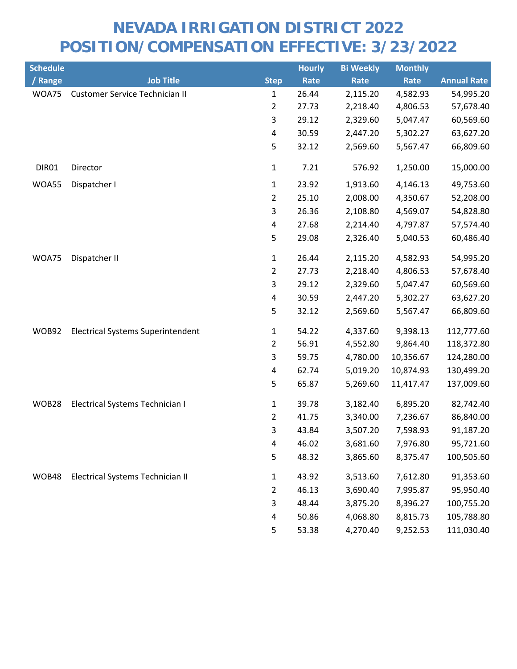| <b>Schedule</b> |                                          |                | <b>Hourly</b> | <b>Bi Weekly</b> | <b>Monthly</b> |                    |
|-----------------|------------------------------------------|----------------|---------------|------------------|----------------|--------------------|
| / Range         | <b>Job Title</b>                         | <b>Step</b>    | Rate          | Rate             | Rate           | <b>Annual Rate</b> |
| WOA75           | Customer Service Technician II           | 1              | 26.44         | 2,115.20         | 4,582.93       | 54,995.20          |
|                 |                                          | 2              | 27.73         | 2,218.40         | 4,806.53       | 57,678.40          |
|                 |                                          | 3              | 29.12         | 2,329.60         | 5,047.47       | 60,569.60          |
|                 |                                          | 4              | 30.59         | 2,447.20         | 5,302.27       | 63,627.20          |
|                 |                                          | 5              | 32.12         | 2,569.60         | 5,567.47       | 66,809.60          |
| DIR01           | Director                                 | $\mathbf 1$    | 7.21          | 576.92           | 1,250.00       | 15,000.00          |
| WOA55           | Dispatcher I                             | $\mathbf{1}$   | 23.92         | 1,913.60         | 4,146.13       | 49,753.60          |
|                 |                                          | $\overline{2}$ | 25.10         | 2,008.00         | 4,350.67       | 52,208.00          |
|                 |                                          | 3              | 26.36         | 2,108.80         | 4,569.07       | 54,828.80          |
|                 |                                          | 4              | 27.68         | 2,214.40         | 4,797.87       | 57,574.40          |
|                 |                                          | 5              | 29.08         | 2,326.40         | 5,040.53       | 60,486.40          |
| WOA75           | Dispatcher II                            | $\mathbf{1}$   | 26.44         | 2,115.20         | 4,582.93       | 54,995.20          |
|                 |                                          | $\overline{2}$ | 27.73         | 2,218.40         | 4,806.53       | 57,678.40          |
|                 |                                          | 3              | 29.12         | 2,329.60         | 5,047.47       | 60,569.60          |
|                 |                                          | 4              | 30.59         | 2,447.20         | 5,302.27       | 63,627.20          |
|                 |                                          | 5              | 32.12         | 2,569.60         | 5,567.47       | 66,809.60          |
| WOB92           | <b>Electrical Systems Superintendent</b> | $\mathbf{1}$   | 54.22         | 4,337.60         | 9,398.13       | 112,777.60         |
|                 |                                          | $\overline{2}$ | 56.91         | 4,552.80         | 9,864.40       | 118,372.80         |
|                 |                                          | 3              | 59.75         | 4,780.00         | 10,356.67      | 124,280.00         |
|                 |                                          | 4              | 62.74         | 5,019.20         | 10,874.93      | 130,499.20         |
|                 |                                          | 5              | 65.87         | 5,269.60         | 11,417.47      | 137,009.60         |
| WOB28           | Electrical Systems Technician I          | 1              | 39.78         | 3,182.40         | 6,895.20       | 82,742.40          |
|                 |                                          | $\overline{2}$ | 41.75         | 3,340.00         | 7,236.67       | 86,840.00          |
|                 |                                          | 3              | 43.84         | 3,507.20         | 7,598.93       | 91,187.20          |
|                 |                                          | 4              | 46.02         | 3,681.60         | 7,976.80       | 95,721.60          |
|                 |                                          | 5              | 48.32         | 3,865.60         | 8,375.47       | 100,505.60         |
| WOB48           | Electrical Systems Technician II         | 1              | 43.92         | 3,513.60         | 7,612.80       | 91,353.60          |
|                 |                                          | $\overline{2}$ | 46.13         | 3,690.40         | 7,995.87       | 95,950.40          |
|                 |                                          | 3              | 48.44         | 3,875.20         | 8,396.27       | 100,755.20         |
|                 |                                          | 4              | 50.86         | 4,068.80         | 8,815.73       | 105,788.80         |
|                 |                                          | 5              | 53.38         | 4,270.40         | 9,252.53       | 111,030.40         |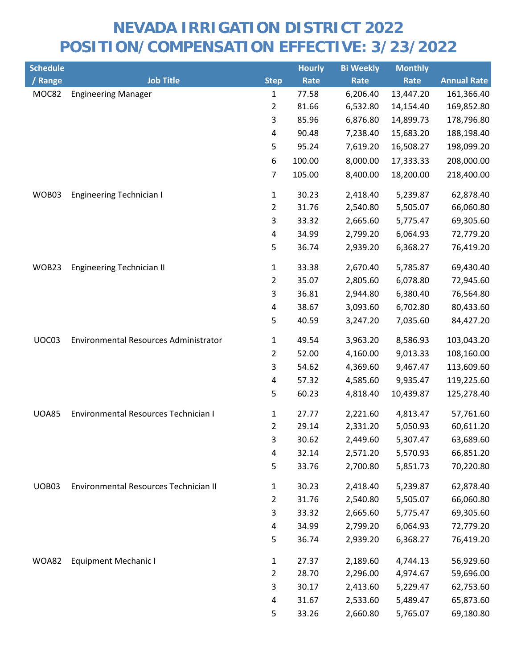| <b>Schedule</b> |                                       |                | <b>Hourly</b> | <b>Bi Weekly</b> | <b>Monthly</b> |                    |
|-----------------|---------------------------------------|----------------|---------------|------------------|----------------|--------------------|
| / Range         | <b>Job Title</b>                      | <b>Step</b>    | <b>Rate</b>   | Rate             | Rate           | <b>Annual Rate</b> |
| MOC82           | <b>Engineering Manager</b>            | 1              | 77.58         | 6,206.40         | 13,447.20      | 161,366.40         |
|                 |                                       | $\overline{2}$ | 81.66         | 6,532.80         | 14,154.40      | 169,852.80         |
|                 |                                       | 3              | 85.96         | 6,876.80         | 14,899.73      | 178,796.80         |
|                 |                                       | 4              | 90.48         | 7,238.40         | 15,683.20      | 188,198.40         |
|                 |                                       | 5              | 95.24         | 7,619.20         | 16,508.27      | 198,099.20         |
|                 |                                       | 6              | 100.00        | 8,000.00         | 17,333.33      | 208,000.00         |
|                 |                                       | $\overline{7}$ | 105.00        | 8,400.00         | 18,200.00      | 218,400.00         |
| WOB03           | <b>Engineering Technician I</b>       | 1              | 30.23         | 2,418.40         | 5,239.87       | 62,878.40          |
|                 |                                       | $\overline{2}$ | 31.76         | 2,540.80         | 5,505.07       | 66,060.80          |
|                 |                                       | 3              | 33.32         | 2,665.60         | 5,775.47       | 69,305.60          |
|                 |                                       | $\pmb{4}$      | 34.99         | 2,799.20         | 6,064.93       | 72,779.20          |
|                 |                                       | 5              | 36.74         | 2,939.20         | 6,368.27       | 76,419.20          |
| WOB23           | <b>Engineering Technician II</b>      | 1              | 33.38         | 2,670.40         | 5,785.87       | 69,430.40          |
|                 |                                       | 2              | 35.07         | 2,805.60         | 6,078.80       | 72,945.60          |
|                 |                                       | 3              | 36.81         | 2,944.80         | 6,380.40       | 76,564.80          |
|                 |                                       | 4              | 38.67         | 3,093.60         | 6,702.80       | 80,433.60          |
|                 |                                       | 5              | 40.59         | 3,247.20         | 7,035.60       | 84,427.20          |
| UOC03           | Environmental Resources Administrator | 1              | 49.54         | 3,963.20         | 8,586.93       | 103,043.20         |
|                 |                                       | $\overline{2}$ | 52.00         | 4,160.00         | 9,013.33       | 108,160.00         |
|                 |                                       | 3              | 54.62         | 4,369.60         | 9,467.47       | 113,609.60         |
|                 |                                       | 4              | 57.32         | 4,585.60         | 9,935.47       | 119,225.60         |
|                 |                                       | 5              | 60.23         | 4,818.40         | 10,439.87      | 125,278.40         |
| <b>UOA85</b>    | Environmental Resources Technician I  | 1              | 27.77         | 2,221.60         | 4,813.47       | 57,761.60          |
|                 |                                       | $\overline{2}$ | 29.14         | 2,331.20         | 5,050.93       | 60,611.20          |
|                 |                                       | 3              | 30.62         | 2,449.60         | 5,307.47       | 63,689.60          |
|                 |                                       | 4              | 32.14         | 2,571.20         | 5,570.93       | 66,851.20          |
|                 |                                       | 5              | 33.76         | 2,700.80         | 5,851.73       | 70,220.80          |
| UOB03           | Environmental Resources Technician II | 1              | 30.23         | 2,418.40         | 5,239.87       | 62,878.40          |
|                 |                                       | $\overline{2}$ | 31.76         | 2,540.80         | 5,505.07       | 66,060.80          |
|                 |                                       | 3              | 33.32         | 2,665.60         | 5,775.47       | 69,305.60          |
|                 |                                       | 4              | 34.99         | 2,799.20         | 6,064.93       | 72,779.20          |
|                 |                                       | 5              | 36.74         | 2,939.20         | 6,368.27       | 76,419.20          |
| <b>WOA82</b>    | <b>Equipment Mechanic I</b>           | 1              | 27.37         | 2,189.60         | 4,744.13       | 56,929.60          |
|                 |                                       | $\overline{2}$ | 28.70         | 2,296.00         | 4,974.67       | 59,696.00          |
|                 |                                       | 3              | 30.17         | 2,413.60         | 5,229.47       | 62,753.60          |
|                 |                                       | 4              | 31.67         | 2,533.60         | 5,489.47       | 65,873.60          |
|                 |                                       | 5              | 33.26         | 2,660.80         | 5,765.07       | 69,180.80          |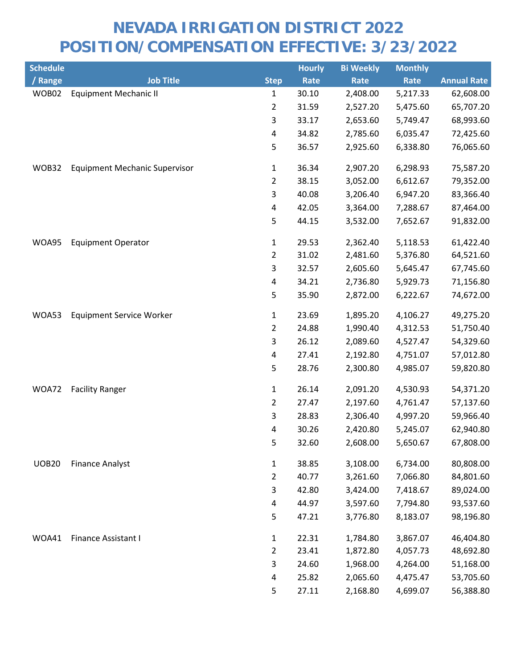| <b>Schedule</b> |                                      |                         | <b>Hourly</b> | <b>Bi Weekly</b> | <b>Monthly</b> |                    |
|-----------------|--------------------------------------|-------------------------|---------------|------------------|----------------|--------------------|
| / Range         | <b>Job Title</b>                     | <b>Step</b>             | Rate          | Rate             | Rate           | <b>Annual Rate</b> |
| WOB02           | <b>Equipment Mechanic II</b>         | $\mathbf{1}$            | 30.10         | 2,408.00         | 5,217.33       | 62,608.00          |
|                 |                                      | $\overline{2}$          | 31.59         | 2,527.20         | 5,475.60       | 65,707.20          |
|                 |                                      | 3                       | 33.17         | 2,653.60         | 5,749.47       | 68,993.60          |
|                 |                                      | $\pmb{4}$               | 34.82         | 2,785.60         | 6,035.47       | 72,425.60          |
|                 |                                      | 5                       | 36.57         | 2,925.60         | 6,338.80       | 76,065.60          |
| WOB32           | <b>Equipment Mechanic Supervisor</b> | $\mathbf{1}$            | 36.34         | 2,907.20         | 6,298.93       | 75,587.20          |
|                 |                                      | $\overline{2}$          | 38.15         | 3,052.00         | 6,612.67       | 79,352.00          |
|                 |                                      | 3                       | 40.08         | 3,206.40         | 6,947.20       | 83,366.40          |
|                 |                                      | 4                       | 42.05         | 3,364.00         | 7,288.67       | 87,464.00          |
|                 |                                      | 5                       | 44.15         | 3,532.00         | 7,652.67       | 91,832.00          |
| WOA95           | <b>Equipment Operator</b>            | $\mathbf{1}$            | 29.53         | 2,362.40         | 5,118.53       | 61,422.40          |
|                 |                                      | $\overline{2}$          | 31.02         | 2,481.60         | 5,376.80       | 64,521.60          |
|                 |                                      | 3                       | 32.57         | 2,605.60         | 5,645.47       | 67,745.60          |
|                 |                                      | 4                       | 34.21         | 2,736.80         | 5,929.73       | 71,156.80          |
|                 |                                      | 5                       | 35.90         | 2,872.00         | 6,222.67       | 74,672.00          |
| WOA53           | <b>Equipment Service Worker</b>      | $\mathbf{1}$            | 23.69         | 1,895.20         | 4,106.27       | 49,275.20          |
|                 |                                      | $\overline{2}$          | 24.88         | 1,990.40         | 4,312.53       | 51,750.40          |
|                 |                                      | 3                       | 26.12         | 2,089.60         | 4,527.47       | 54,329.60          |
|                 |                                      | 4                       | 27.41         | 2,192.80         | 4,751.07       | 57,012.80          |
|                 |                                      | 5                       | 28.76         | 2,300.80         | 4,985.07       | 59,820.80          |
| WOA72           | <b>Facility Ranger</b>               | $\mathbf{1}$            | 26.14         | 2,091.20         | 4,530.93       | 54,371.20          |
|                 |                                      | $\overline{2}$          | 27.47         | 2,197.60         | 4,761.47       | 57,137.60          |
|                 |                                      | 3                       | 28.83         | 2,306.40         | 4,997.20       | 59,966.40          |
|                 |                                      | 4                       | 30.26         | 2,420.80         | 5,245.07       | 62,940.80          |
|                 |                                      | 5                       | 32.60         | 2,608.00         | 5,650.67       | 67,808.00          |
| <b>UOB20</b>    | <b>Finance Analyst</b>               | $\mathbf{1}$            | 38.85         | 3,108.00         | 6,734.00       | 80,808.00          |
|                 |                                      | $\overline{2}$          | 40.77         | 3,261.60         | 7,066.80       | 84,801.60          |
|                 |                                      | 3                       | 42.80         | 3,424.00         | 7,418.67       | 89,024.00          |
|                 |                                      | $\overline{\mathbf{4}}$ | 44.97         | 3,597.60         | 7,794.80       | 93,537.60          |
|                 |                                      | 5                       | 47.21         | 3,776.80         | 8,183.07       | 98,196.80          |
| WOA41           | Finance Assistant I                  | $\mathbf{1}$            | 22.31         | 1,784.80         | 3,867.07       | 46,404.80          |
|                 |                                      | $\overline{2}$          | 23.41         | 1,872.80         | 4,057.73       | 48,692.80          |
|                 |                                      | 3                       | 24.60         | 1,968.00         | 4,264.00       | 51,168.00          |
|                 |                                      | 4                       | 25.82         | 2,065.60         | 4,475.47       | 53,705.60          |
|                 |                                      | 5                       | 27.11         | 2,168.80         | 4,699.07       | 56,388.80          |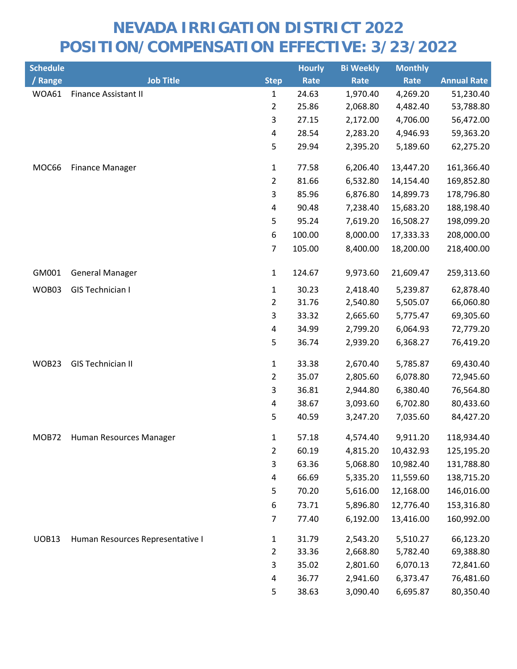| <b>Schedule</b> |                                  |                | <b>Hourly</b> | <b>Bi Weekly</b> | <b>Monthly</b> |                    |
|-----------------|----------------------------------|----------------|---------------|------------------|----------------|--------------------|
| / Range         | <b>Job Title</b>                 | <b>Step</b>    | Rate          | Rate             | Rate           | <b>Annual Rate</b> |
| WOA61           | <b>Finance Assistant II</b>      | $\mathbf{1}$   | 24.63         | 1,970.40         | 4,269.20       | 51,230.40          |
|                 |                                  | $\overline{2}$ | 25.86         | 2,068.80         | 4,482.40       | 53,788.80          |
|                 |                                  | 3              | 27.15         | 2,172.00         | 4,706.00       | 56,472.00          |
|                 |                                  | 4              | 28.54         | 2,283.20         | 4,946.93       | 59,363.20          |
|                 |                                  | 5              | 29.94         | 2,395.20         | 5,189.60       | 62,275.20          |
| MOC66           | <b>Finance Manager</b>           | $\mathbf{1}$   | 77.58         | 6,206.40         | 13,447.20      | 161,366.40         |
|                 |                                  | $\overline{2}$ | 81.66         | 6,532.80         | 14,154.40      | 169,852.80         |
|                 |                                  | $\mathsf{3}$   | 85.96         | 6,876.80         | 14,899.73      | 178,796.80         |
|                 |                                  | 4              | 90.48         | 7,238.40         | 15,683.20      | 188,198.40         |
|                 |                                  | 5              | 95.24         | 7,619.20         | 16,508.27      | 198,099.20         |
|                 |                                  | 6              | 100.00        | 8,000.00         | 17,333.33      | 208,000.00         |
|                 |                                  | 7              | 105.00        | 8,400.00         | 18,200.00      | 218,400.00         |
| GM001           | <b>General Manager</b>           | $\mathbf{1}$   | 124.67        | 9,973.60         | 21,609.47      | 259,313.60         |
| WOB03           | GIS Technician I                 | 1              | 30.23         | 2,418.40         | 5,239.87       | 62,878.40          |
|                 |                                  | $\overline{2}$ | 31.76         | 2,540.80         | 5,505.07       | 66,060.80          |
|                 |                                  | $\mathsf{3}$   | 33.32         | 2,665.60         | 5,775.47       | 69,305.60          |
|                 |                                  | 4              | 34.99         | 2,799.20         | 6,064.93       | 72,779.20          |
|                 |                                  | 5              | 36.74         | 2,939.20         | 6,368.27       | 76,419.20          |
| WOB23           | <b>GIS Technician II</b>         | $\mathbf{1}$   | 33.38         | 2,670.40         | 5,785.87       | 69,430.40          |
|                 |                                  | $\overline{2}$ | 35.07         | 2,805.60         | 6,078.80       | 72,945.60          |
|                 |                                  | 3              | 36.81         | 2,944.80         | 6,380.40       | 76,564.80          |
|                 |                                  | 4              | 38.67         | 3,093.60         | 6,702.80       | 80,433.60          |
|                 |                                  | 5              | 40.59         | 3,247.20         | 7,035.60       | 84,427.20          |
| MOB72           | Human Resources Manager          | 1              | 57.18         | 4,574.40         | 9,911.20       | 118,934.40         |
|                 |                                  | $\overline{2}$ | 60.19         | 4,815.20         | 10,432.93      | 125,195.20         |
|                 |                                  | 3              | 63.36         | 5,068.80         | 10,982.40      | 131,788.80         |
|                 |                                  | 4              | 66.69         | 5,335.20         | 11,559.60      | 138,715.20         |
|                 |                                  | 5              | 70.20         | 5,616.00         | 12,168.00      | 146,016.00         |
|                 |                                  | 6              | 73.71         | 5,896.80         | 12,776.40      | 153,316.80         |
|                 |                                  | 7              | 77.40         | 6,192.00         | 13,416.00      | 160,992.00         |
| <b>UOB13</b>    | Human Resources Representative I | 1              | 31.79         | 2,543.20         | 5,510.27       | 66,123.20          |
|                 |                                  | $\overline{2}$ | 33.36         | 2,668.80         | 5,782.40       | 69,388.80          |
|                 |                                  | 3              | 35.02         | 2,801.60         | 6,070.13       | 72,841.60          |
|                 |                                  | 4              | 36.77         | 2,941.60         | 6,373.47       | 76,481.60          |
|                 |                                  | 5              | 38.63         | 3,090.40         | 6,695.87       | 80,350.40          |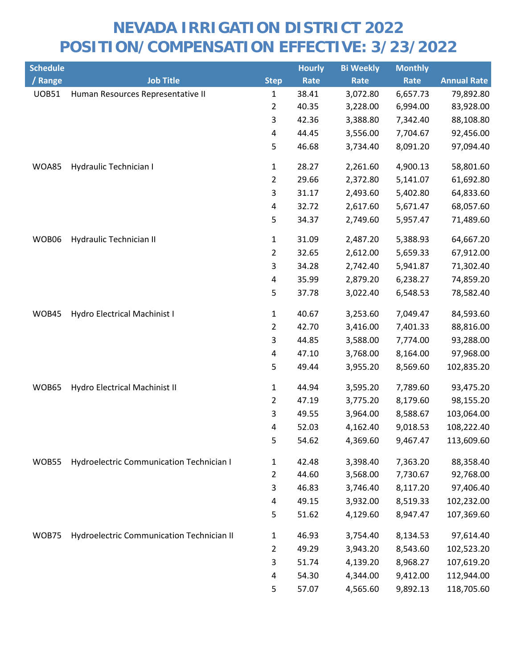| <b>Schedule</b> |                                                 |                         | <b>Hourly</b> | <b>Bi Weekly</b> | <b>Monthly</b> |                    |
|-----------------|-------------------------------------------------|-------------------------|---------------|------------------|----------------|--------------------|
| / Range         | <b>Job Title</b>                                | <b>Step</b>             | Rate          | Rate             | Rate           | <b>Annual Rate</b> |
| <b>UOB51</b>    | Human Resources Representative II               | $\mathbf{1}$            | 38.41         | 3,072.80         | 6,657.73       | 79,892.80          |
|                 |                                                 | $\overline{2}$          | 40.35         | 3,228.00         | 6,994.00       | 83,928.00          |
|                 |                                                 | 3                       | 42.36         | 3,388.80         | 7,342.40       | 88,108.80          |
|                 |                                                 | 4                       | 44.45         | 3,556.00         | 7,704.67       | 92,456.00          |
|                 |                                                 | 5                       | 46.68         | 3,734.40         | 8,091.20       | 97,094.40          |
| <b>WOA85</b>    | Hydraulic Technician I                          | $\mathbf{1}$            | 28.27         | 2,261.60         | 4,900.13       | 58,801.60          |
|                 |                                                 | $\overline{2}$          | 29.66         | 2,372.80         | 5,141.07       | 61,692.80          |
|                 |                                                 | 3                       | 31.17         | 2,493.60         | 5,402.80       | 64,833.60          |
|                 |                                                 | 4                       | 32.72         | 2,617.60         | 5,671.47       | 68,057.60          |
|                 |                                                 | 5                       | 34.37         | 2,749.60         | 5,957.47       | 71,489.60          |
| WOB06           | Hydraulic Technician II                         | $\mathbf{1}$            | 31.09         | 2,487.20         | 5,388.93       | 64,667.20          |
|                 |                                                 | $\overline{2}$          | 32.65         | 2,612.00         | 5,659.33       | 67,912.00          |
|                 |                                                 | 3                       | 34.28         | 2,742.40         | 5,941.87       | 71,302.40          |
|                 |                                                 | $\overline{\mathbf{4}}$ | 35.99         | 2,879.20         | 6,238.27       | 74,859.20          |
|                 |                                                 | 5                       | 37.78         | 3,022.40         | 6,548.53       | 78,582.40          |
| WOB45           | Hydro Electrical Machinist I                    | $\mathbf{1}$            | 40.67         | 3,253.60         | 7,049.47       | 84,593.60          |
|                 |                                                 | $\overline{2}$          | 42.70         | 3,416.00         | 7,401.33       | 88,816.00          |
|                 |                                                 | 3                       | 44.85         | 3,588.00         | 7,774.00       | 93,288.00          |
|                 |                                                 | 4                       | 47.10         | 3,768.00         | 8,164.00       | 97,968.00          |
|                 |                                                 | 5                       | 49.44         | 3,955.20         | 8,569.60       | 102,835.20         |
| WOB65           | Hydro Electrical Machinist II                   | $\mathbf{1}$            | 44.94         | 3,595.20         | 7,789.60       | 93,475.20          |
|                 |                                                 | $\overline{2}$          | 47.19         | 3,775.20         | 8,179.60       | 98,155.20          |
|                 |                                                 | 3                       | 49.55         | 3,964.00         | 8,588.67       | 103,064.00         |
|                 |                                                 | 4                       | 52.03         | 4,162.40         | 9,018.53       | 108,222.40         |
|                 |                                                 | 5                       | 54.62         | 4,369.60         | 9,467.47       | 113,609.60         |
| WOB55           | <b>Hydroelectric Communication Technician I</b> | 1                       | 42.48         | 3,398.40         | 7,363.20       | 88,358.40          |
|                 |                                                 | $\overline{2}$          | 44.60         | 3,568.00         | 7,730.67       | 92,768.00          |
|                 |                                                 | 3                       | 46.83         | 3,746.40         | 8,117.20       | 97,406.40          |
|                 |                                                 | 4                       | 49.15         | 3,932.00         | 8,519.33       | 102,232.00         |
|                 |                                                 | 5                       | 51.62         | 4,129.60         | 8,947.47       | 107,369.60         |
| WOB75           | Hydroelectric Communication Technician II       | $\mathbf{1}$            | 46.93         | 3,754.40         | 8,134.53       | 97,614.40          |
|                 |                                                 | $\overline{2}$          | 49.29         | 3,943.20         | 8,543.60       | 102,523.20         |
|                 |                                                 | 3                       | 51.74         | 4,139.20         | 8,968.27       | 107,619.20         |
|                 |                                                 | 4                       | 54.30         | 4,344.00         | 9,412.00       | 112,944.00         |
|                 |                                                 | 5                       | 57.07         | 4,565.60         | 9,892.13       | 118,705.60         |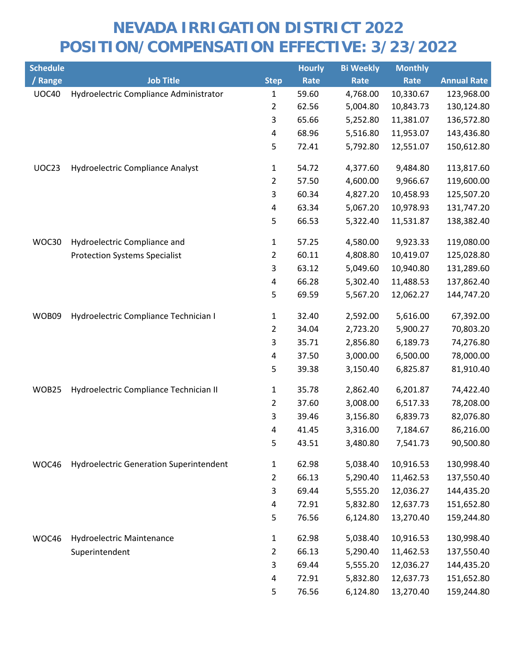| <b>Schedule</b> |                                                |                | <b>Hourly</b> | <b>Bi Weekly</b> | <b>Monthly</b> |                    |
|-----------------|------------------------------------------------|----------------|---------------|------------------|----------------|--------------------|
| / Range         | <b>Job Title</b>                               | <b>Step</b>    | Rate          | Rate             | Rate           | <b>Annual Rate</b> |
| <b>UOC40</b>    | Hydroelectric Compliance Administrator         | 1              | 59.60         | 4,768.00         | 10,330.67      | 123,968.00         |
|                 |                                                | $\overline{2}$ | 62.56         | 5,004.80         | 10,843.73      | 130,124.80         |
|                 |                                                | 3              | 65.66         | 5,252.80         | 11,381.07      | 136,572.80         |
|                 |                                                | 4              | 68.96         | 5,516.80         | 11,953.07      | 143,436.80         |
|                 |                                                | 5              | 72.41         | 5,792.80         | 12,551.07      | 150,612.80         |
| UOC23           | Hydroelectric Compliance Analyst               | $\mathbf{1}$   | 54.72         | 4,377.60         | 9,484.80       | 113,817.60         |
|                 |                                                | $\overline{2}$ | 57.50         | 4,600.00         | 9,966.67       | 119,600.00         |
|                 |                                                | 3              | 60.34         | 4,827.20         | 10,458.93      | 125,507.20         |
|                 |                                                | 4              | 63.34         | 5,067.20         | 10,978.93      | 131,747.20         |
|                 |                                                | 5              | 66.53         | 5,322.40         | 11,531.87      | 138,382.40         |
| WOC30           | Hydroelectric Compliance and                   | 1              | 57.25         | 4,580.00         | 9,923.33       | 119,080.00         |
|                 | <b>Protection Systems Specialist</b>           | 2              | 60.11         | 4,808.80         | 10,419.07      | 125,028.80         |
|                 |                                                | 3              | 63.12         | 5,049.60         | 10,940.80      | 131,289.60         |
|                 |                                                | 4              | 66.28         | 5,302.40         | 11,488.53      | 137,862.40         |
|                 |                                                | 5              | 69.59         | 5,567.20         | 12,062.27      | 144,747.20         |
| WOB09           | Hydroelectric Compliance Technician I          | $\mathbf{1}$   | 32.40         | 2,592.00         | 5,616.00       | 67,392.00          |
|                 |                                                | 2              | 34.04         | 2,723.20         | 5,900.27       | 70,803.20          |
|                 |                                                | 3              | 35.71         | 2,856.80         | 6,189.73       | 74,276.80          |
|                 |                                                | $\pmb{4}$      | 37.50         | 3,000.00         | 6,500.00       | 78,000.00          |
|                 |                                                | 5              | 39.38         | 3,150.40         | 6,825.87       | 81,910.40          |
| WOB25           | Hydroelectric Compliance Technician II         | $\mathbf{1}$   | 35.78         | 2,862.40         | 6,201.87       | 74,422.40          |
|                 |                                                | 2              | 37.60         | 3,008.00         | 6,517.33       | 78,208.00          |
|                 |                                                | 3              | 39.46         | 3,156.80         | 6,839.73       | 82,076.80          |
|                 |                                                | 4              | 41.45         | 3,316.00         | 7,184.67       | 86,216.00          |
|                 |                                                | 5              | 43.51         | 3,480.80         | 7,541.73       | 90,500.80          |
| WOC46           | <b>Hydroelectric Generation Superintendent</b> | 1              | 62.98         | 5,038.40         | 10,916.53      | 130,998.40         |
|                 |                                                | 2              | 66.13         | 5,290.40         | 11,462.53      | 137,550.40         |
|                 |                                                | 3              | 69.44         | 5,555.20         | 12,036.27      | 144,435.20         |
|                 |                                                | 4              | 72.91         | 5,832.80         | 12,637.73      | 151,652.80         |
|                 |                                                | 5              | 76.56         | 6,124.80         | 13,270.40      | 159,244.80         |
| WOC46           | <b>Hydroelectric Maintenance</b>               | $\mathbf{1}$   | 62.98         | 5,038.40         | 10,916.53      | 130,998.40         |
|                 | Superintendent                                 | $\overline{2}$ | 66.13         | 5,290.40         | 11,462.53      | 137,550.40         |
|                 |                                                | 3              | 69.44         | 5,555.20         | 12,036.27      | 144,435.20         |
|                 |                                                | 4              | 72.91         | 5,832.80         | 12,637.73      | 151,652.80         |
|                 |                                                | 5              | 76.56         | 6,124.80         | 13,270.40      | 159,244.80         |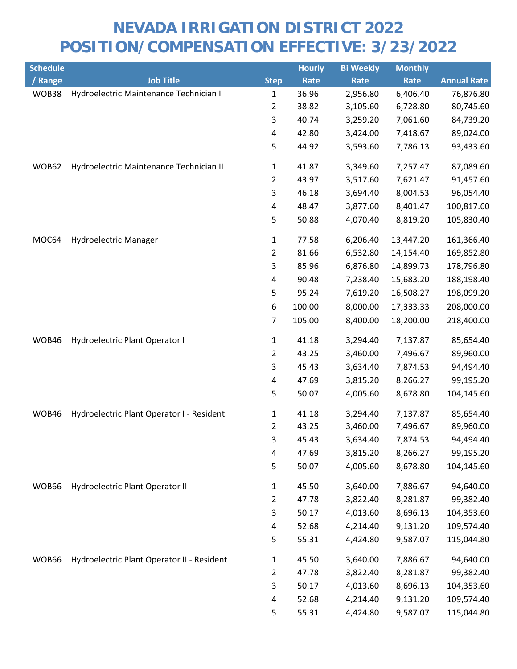| <b>Schedule</b> |                                            |                | <b>Hourly</b> | <b>Bi Weekly</b> | <b>Monthly</b> |                    |
|-----------------|--------------------------------------------|----------------|---------------|------------------|----------------|--------------------|
| / Range         | <b>Job Title</b>                           | <b>Step</b>    | Rate          | Rate             | Rate           | <b>Annual Rate</b> |
| WOB38           | Hydroelectric Maintenance Technician I     | 1              | 36.96         | 2,956.80         | 6,406.40       | 76,876.80          |
|                 |                                            | 2              | 38.82         | 3,105.60         | 6,728.80       | 80,745.60          |
|                 |                                            | 3              | 40.74         | 3,259.20         | 7,061.60       | 84,739.20          |
|                 |                                            | 4              | 42.80         | 3,424.00         | 7,418.67       | 89,024.00          |
|                 |                                            | 5              | 44.92         | 3,593.60         | 7,786.13       | 93,433.60          |
| WOB62           | Hydroelectric Maintenance Technician II    | $\mathbf{1}$   | 41.87         | 3,349.60         | 7,257.47       | 87,089.60          |
|                 |                                            | 2              | 43.97         | 3,517.60         | 7,621.47       | 91,457.60          |
|                 |                                            | 3              | 46.18         | 3,694.40         | 8,004.53       | 96,054.40          |
|                 |                                            | 4              | 48.47         | 3,877.60         | 8,401.47       | 100,817.60         |
|                 |                                            | 5              | 50.88         | 4,070.40         | 8,819.20       | 105,830.40         |
| MOC64           | Hydroelectric Manager                      | 1              | 77.58         | 6,206.40         | 13,447.20      | 161,366.40         |
|                 |                                            | $\overline{2}$ | 81.66         | 6,532.80         | 14,154.40      | 169,852.80         |
|                 |                                            | 3              | 85.96         | 6,876.80         | 14,899.73      | 178,796.80         |
|                 |                                            | 4              | 90.48         | 7,238.40         | 15,683.20      | 188,198.40         |
|                 |                                            | 5              | 95.24         | 7,619.20         | 16,508.27      | 198,099.20         |
|                 |                                            | 6              | 100.00        | 8,000.00         | 17,333.33      | 208,000.00         |
|                 |                                            | 7              | 105.00        | 8,400.00         | 18,200.00      | 218,400.00         |
| WOB46           | Hydroelectric Plant Operator I             | $\mathbf{1}$   | 41.18         | 3,294.40         | 7,137.87       | 85,654.40          |
|                 |                                            | 2              | 43.25         | 3,460.00         | 7,496.67       | 89,960.00          |
|                 |                                            | 3              | 45.43         | 3,634.40         | 7,874.53       | 94,494.40          |
|                 |                                            | 4              | 47.69         | 3,815.20         | 8,266.27       | 99,195.20          |
|                 |                                            | 5              | 50.07         | 4,005.60         | 8,678.80       | 104,145.60         |
| WOB46           | Hydroelectric Plant Operator I - Resident  | 1              | 41.18         | 3,294.40         | 7,137.87       | 85,654.40          |
|                 |                                            | $\overline{2}$ | 43.25         | 3,460.00         | 7,496.67       | 89,960.00          |
|                 |                                            | 3              | 45.43         | 3,634.40         | 7,874.53       | 94,494.40          |
|                 |                                            | 4              | 47.69         | 3,815.20         | 8,266.27       | 99,195.20          |
|                 |                                            | 5              | 50.07         | 4,005.60         | 8,678.80       | 104,145.60         |
| WOB66           | Hydroelectric Plant Operator II            | $\mathbf{1}$   | 45.50         | 3,640.00         | 7,886.67       | 94,640.00          |
|                 |                                            | $\overline{a}$ | 47.78         | 3,822.40         | 8,281.87       | 99,382.40          |
|                 |                                            | 3              | 50.17         | 4,013.60         | 8,696.13       | 104,353.60         |
|                 |                                            | 4              | 52.68         | 4,214.40         | 9,131.20       | 109,574.40         |
|                 |                                            | 5              | 55.31         | 4,424.80         | 9,587.07       | 115,044.80         |
| WOB66           | Hydroelectric Plant Operator II - Resident | 1              | 45.50         | 3,640.00         | 7,886.67       | 94,640.00          |
|                 |                                            | 2              | 47.78         | 3,822.40         | 8,281.87       | 99,382.40          |
|                 |                                            | 3              | 50.17         | 4,013.60         | 8,696.13       | 104,353.60         |
|                 |                                            | 4              | 52.68         | 4,214.40         | 9,131.20       | 109,574.40         |
|                 |                                            | 5              | 55.31         | 4,424.80         | 9,587.07       | 115,044.80         |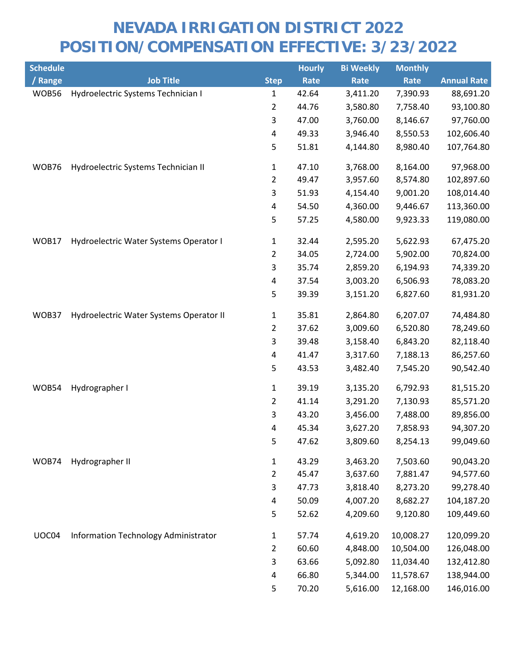| <b>Schedule</b> |                                         |                | <b>Hourly</b> | <b>Bi Weekly</b> | <b>Monthly</b> |                    |
|-----------------|-----------------------------------------|----------------|---------------|------------------|----------------|--------------------|
| / Range         | <b>Job Title</b>                        | <b>Step</b>    | Rate          | Rate             | Rate           | <b>Annual Rate</b> |
| WOB56           | Hydroelectric Systems Technician I      | 1              | 42.64         | 3,411.20         | 7,390.93       | 88,691.20          |
|                 |                                         | 2              | 44.76         | 3,580.80         | 7,758.40       | 93,100.80          |
|                 |                                         | 3              | 47.00         | 3,760.00         | 8,146.67       | 97,760.00          |
|                 |                                         | 4              | 49.33         | 3,946.40         | 8,550.53       | 102,606.40         |
|                 |                                         | 5              | 51.81         | 4,144.80         | 8,980.40       | 107,764.80         |
| WOB76           | Hydroelectric Systems Technician II     | $\mathbf{1}$   | 47.10         | 3,768.00         | 8,164.00       | 97,968.00          |
|                 |                                         | 2              | 49.47         | 3,957.60         | 8,574.80       | 102,897.60         |
|                 |                                         | 3              | 51.93         | 4,154.40         | 9,001.20       | 108,014.40         |
|                 |                                         | 4              | 54.50         | 4,360.00         | 9,446.67       | 113,360.00         |
|                 |                                         | 5              | 57.25         | 4,580.00         | 9,923.33       | 119,080.00         |
| WOB17           | Hydroelectric Water Systems Operator I  | 1              | 32.44         | 2,595.20         | 5,622.93       | 67,475.20          |
|                 |                                         | $\overline{2}$ | 34.05         | 2,724.00         | 5,902.00       | 70,824.00          |
|                 |                                         | 3              | 35.74         | 2,859.20         | 6,194.93       | 74,339.20          |
|                 |                                         | 4              | 37.54         | 3,003.20         | 6,506.93       | 78,083.20          |
|                 |                                         | 5              | 39.39         | 3,151.20         | 6,827.60       | 81,931.20          |
| WOB37           | Hydroelectric Water Systems Operator II | $\mathbf{1}$   | 35.81         | 2,864.80         | 6,207.07       | 74,484.80          |
|                 |                                         | 2              | 37.62         | 3,009.60         | 6,520.80       | 78,249.60          |
|                 |                                         | 3              | 39.48         | 3,158.40         | 6,843.20       | 82,118.40          |
|                 |                                         | 4              | 41.47         | 3,317.60         | 7,188.13       | 86,257.60          |
|                 |                                         | 5              | 43.53         | 3,482.40         | 7,545.20       | 90,542.40          |
| WOB54           | Hydrographer I                          | 1              | 39.19         | 3,135.20         | 6,792.93       | 81,515.20          |
|                 |                                         | 2              | 41.14         | 3,291.20         | 7,130.93       | 85,571.20          |
|                 |                                         | 3              | 43.20         | 3,456.00         | 7,488.00       | 89,856.00          |
|                 |                                         | 4              | 45.34         | 3,627.20         | 7,858.93       | 94,307.20          |
|                 |                                         | 5              | 47.62         | 3,809.60         | 8,254.13       | 99,049.60          |
| WOB74           | Hydrographer II                         | $\mathbf{1}$   | 43.29         | 3,463.20         | 7,503.60       | 90,043.20          |
|                 |                                         | 2              | 45.47         | 3,637.60         | 7,881.47       | 94,577.60          |
|                 |                                         | 3              | 47.73         | 3,818.40         | 8,273.20       | 99,278.40          |
|                 |                                         | 4              | 50.09         | 4,007.20         | 8,682.27       | 104,187.20         |
|                 |                                         | 5              | 52.62         | 4,209.60         | 9,120.80       | 109,449.60         |
| UOC04           | Information Technology Administrator    | $\mathbf{1}$   | 57.74         | 4,619.20         | 10,008.27      | 120,099.20         |
|                 |                                         | 2              | 60.60         | 4,848.00         | 10,504.00      | 126,048.00         |
|                 |                                         | 3              | 63.66         | 5,092.80         | 11,034.40      | 132,412.80         |
|                 |                                         | 4              | 66.80         | 5,344.00         | 11,578.67      | 138,944.00         |
|                 |                                         | 5              | 70.20         | 5,616.00         | 12,168.00      | 146,016.00         |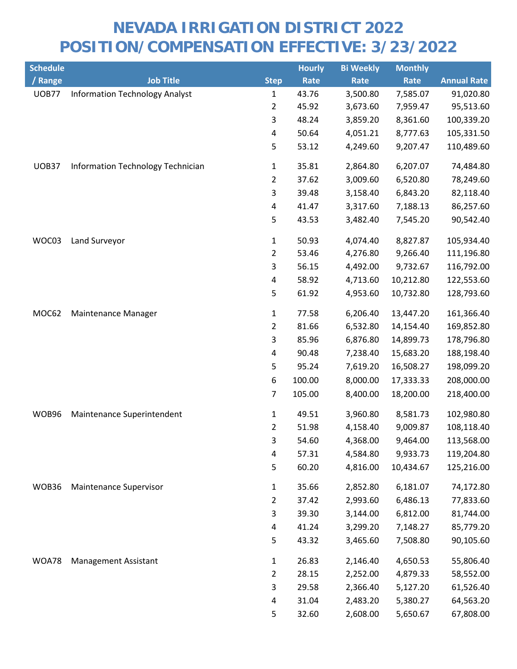| <b>Schedule</b> |                                       |                | <b>Hourly</b> | <b>Bi Weekly</b> | <b>Monthly</b> |                    |
|-----------------|---------------------------------------|----------------|---------------|------------------|----------------|--------------------|
| / Range         | <b>Job Title</b>                      | <b>Step</b>    | Rate          | Rate             | Rate           | <b>Annual Rate</b> |
| <b>UOB77</b>    | <b>Information Technology Analyst</b> | $\mathbf{1}$   | 43.76         | 3,500.80         | 7,585.07       | 91,020.80          |
|                 |                                       | $\overline{2}$ | 45.92         | 3,673.60         | 7,959.47       | 95,513.60          |
|                 |                                       | 3              | 48.24         | 3,859.20         | 8,361.60       | 100,339.20         |
|                 |                                       | 4              | 50.64         | 4,051.21         | 8,777.63       | 105,331.50         |
|                 |                                       | 5              | 53.12         | 4,249.60         | 9,207.47       | 110,489.60         |
| <b>UOB37</b>    | Information Technology Technician     | $\mathbf{1}$   | 35.81         | 2,864.80         | 6,207.07       | 74,484.80          |
|                 |                                       | $\overline{2}$ | 37.62         | 3,009.60         | 6,520.80       | 78,249.60          |
|                 |                                       | 3              | 39.48         | 3,158.40         | 6,843.20       | 82,118.40          |
|                 |                                       | 4              | 41.47         | 3,317.60         | 7,188.13       | 86,257.60          |
|                 |                                       | 5              | 43.53         | 3,482.40         | 7,545.20       | 90,542.40          |
| WOC03           | Land Surveyor                         | 1              | 50.93         | 4,074.40         | 8,827.87       | 105,934.40         |
|                 |                                       | $\overline{2}$ | 53.46         | 4,276.80         | 9,266.40       | 111,196.80         |
|                 |                                       | 3              | 56.15         | 4,492.00         | 9,732.67       | 116,792.00         |
|                 |                                       | 4              | 58.92         | 4,713.60         | 10,212.80      | 122,553.60         |
|                 |                                       | 5              | 61.92         | 4,953.60         | 10,732.80      | 128,793.60         |
| MOC62           | Maintenance Manager                   | $\mathbf{1}$   | 77.58         | 6,206.40         | 13,447.20      | 161,366.40         |
|                 |                                       | $\overline{2}$ | 81.66         | 6,532.80         | 14,154.40      | 169,852.80         |
|                 |                                       | 3              | 85.96         | 6,876.80         | 14,899.73      | 178,796.80         |
|                 |                                       | 4              | 90.48         | 7,238.40         | 15,683.20      | 188,198.40         |
|                 |                                       | 5              | 95.24         | 7,619.20         | 16,508.27      | 198,099.20         |
|                 |                                       | 6              | 100.00        | 8,000.00         | 17,333.33      | 208,000.00         |
|                 |                                       | 7              | 105.00        | 8,400.00         | 18,200.00      | 218,400.00         |
| WOB96           | Maintenance Superintendent            | $\mathbf{1}$   | 49.51         | 3,960.80         | 8,581.73       | 102,980.80         |
|                 |                                       | $\overline{2}$ | 51.98         | 4,158.40         | 9,009.87       | 108,118.40         |
|                 |                                       | 3              | 54.60         | 4,368.00         | 9,464.00       | 113,568.00         |
|                 |                                       | 4              | 57.31         | 4,584.80         | 9,933.73       | 119,204.80         |
|                 |                                       | 5              | 60.20         | 4,816.00         | 10,434.67      | 125,216.00         |
| WOB36           | Maintenance Supervisor                | $\mathbf{1}$   | 35.66         | 2,852.80         | 6,181.07       | 74,172.80          |
|                 |                                       | $\overline{2}$ | 37.42         | 2,993.60         | 6,486.13       | 77,833.60          |
|                 |                                       | 3              | 39.30         | 3,144.00         | 6,812.00       | 81,744.00          |
|                 |                                       | 4              | 41.24         | 3,299.20         | 7,148.27       | 85,779.20          |
|                 |                                       | 5              | 43.32         | 3,465.60         | 7,508.80       | 90,105.60          |
| WOA78           | <b>Management Assistant</b>           | $\mathbf{1}$   | 26.83         | 2,146.40         | 4,650.53       | 55,806.40          |
|                 |                                       | 2              | 28.15         | 2,252.00         | 4,879.33       | 58,552.00          |
|                 |                                       | 3              | 29.58         | 2,366.40         | 5,127.20       | 61,526.40          |
|                 |                                       | 4              | 31.04         | 2,483.20         | 5,380.27       | 64,563.20          |
|                 |                                       | 5              | 32.60         | 2,608.00         | 5,650.67       | 67,808.00          |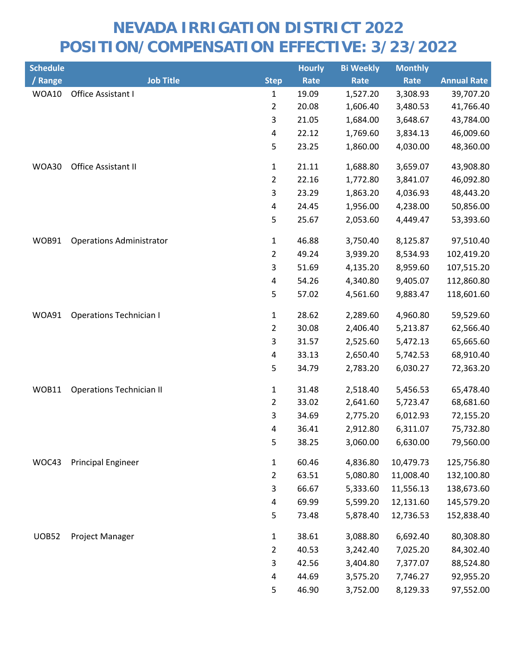| <b>Schedule</b> |                                 |                | <b>Hourly</b> | <b>Bi Weekly</b> | <b>Monthly</b> |                    |
|-----------------|---------------------------------|----------------|---------------|------------------|----------------|--------------------|
| / Range         | <b>Job Title</b>                | <b>Step</b>    | Rate          | Rate             | <b>Rate</b>    | <b>Annual Rate</b> |
| WOA10           | Office Assistant I              | $\mathbf{1}$   | 19.09         | 1,527.20         | 3,308.93       | 39,707.20          |
|                 |                                 | $\overline{2}$ | 20.08         | 1,606.40         | 3,480.53       | 41,766.40          |
|                 |                                 | 3              | 21.05         | 1,684.00         | 3,648.67       | 43,784.00          |
|                 |                                 | $\pmb{4}$      | 22.12         | 1,769.60         | 3,834.13       | 46,009.60          |
|                 |                                 | 5              | 23.25         | 1,860.00         | 4,030.00       | 48,360.00          |
| WOA30           | Office Assistant II             | $\mathbf{1}$   | 21.11         | 1,688.80         | 3,659.07       | 43,908.80          |
|                 |                                 | $\overline{2}$ | 22.16         | 1,772.80         | 3,841.07       | 46,092.80          |
|                 |                                 | 3              | 23.29         | 1,863.20         | 4,036.93       | 48,443.20          |
|                 |                                 | 4              | 24.45         | 1,956.00         | 4,238.00       | 50,856.00          |
|                 |                                 | 5              | 25.67         | 2,053.60         | 4,449.47       | 53,393.60          |
| WOB91           | <b>Operations Administrator</b> | $\mathbf{1}$   | 46.88         | 3,750.40         | 8,125.87       | 97,510.40          |
|                 |                                 | $\overline{2}$ | 49.24         | 3,939.20         | 8,534.93       | 102,419.20         |
|                 |                                 | 3              | 51.69         | 4,135.20         | 8,959.60       | 107,515.20         |
|                 |                                 | 4              | 54.26         | 4,340.80         | 9,405.07       | 112,860.80         |
|                 |                                 | 5              | 57.02         | 4,561.60         | 9,883.47       | 118,601.60         |
| WOA91           | <b>Operations Technician I</b>  | $\mathbf{1}$   | 28.62         | 2,289.60         | 4,960.80       | 59,529.60          |
|                 |                                 | $\overline{2}$ | 30.08         | 2,406.40         | 5,213.87       | 62,566.40          |
|                 |                                 | 3              | 31.57         | 2,525.60         | 5,472.13       | 65,665.60          |
|                 |                                 | 4              | 33.13         | 2,650.40         | 5,742.53       | 68,910.40          |
|                 |                                 | 5              | 34.79         | 2,783.20         | 6,030.27       | 72,363.20          |
| WOB11           | <b>Operations Technician II</b> | $\mathbf{1}$   | 31.48         | 2,518.40         | 5,456.53       | 65,478.40          |
|                 |                                 | $\overline{2}$ | 33.02         | 2,641.60         | 5,723.47       | 68,681.60          |
|                 |                                 | 3              | 34.69         | 2,775.20         | 6,012.93       | 72,155.20          |
|                 |                                 | 4              | 36.41         | 2,912.80         | 6,311.07       | 75,732.80          |
|                 |                                 | 5              | 38.25         | 3,060.00         | 6,630.00       | 79,560.00          |
| WOC43           | <b>Principal Engineer</b>       | $\mathbf{1}$   | 60.46         | 4,836.80         | 10,479.73      | 125,756.80         |
|                 |                                 | $\overline{2}$ | 63.51         | 5,080.80         | 11,008.40      | 132,100.80         |
|                 |                                 | 3              | 66.67         | 5,333.60         | 11,556.13      | 138,673.60         |
|                 |                                 | 4              | 69.99         | 5,599.20         | 12,131.60      | 145,579.20         |
|                 |                                 | 5              | 73.48         | 5,878.40         | 12,736.53      | 152,838.40         |
| <b>UOB52</b>    | Project Manager                 | $\mathbf{1}$   | 38.61         | 3,088.80         | 6,692.40       | 80,308.80          |
|                 |                                 | $\overline{2}$ | 40.53         | 3,242.40         | 7,025.20       | 84,302.40          |
|                 |                                 | 3              | 42.56         | 3,404.80         | 7,377.07       | 88,524.80          |
|                 |                                 | 4              | 44.69         | 3,575.20         | 7,746.27       | 92,955.20          |
|                 |                                 | 5              | 46.90         | 3,752.00         | 8,129.33       | 97,552.00          |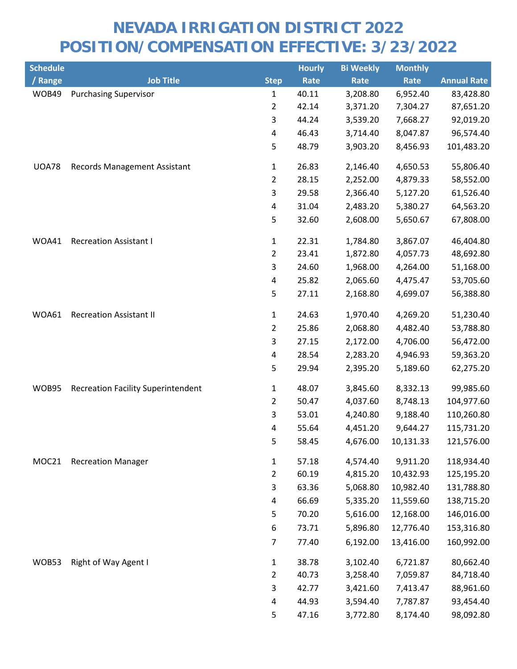| <b>Schedule</b> |                                           |                | <b>Hourly</b> | <b>Bi Weekly</b> | <b>Monthly</b> |                    |
|-----------------|-------------------------------------------|----------------|---------------|------------------|----------------|--------------------|
| / Range         | <b>Job Title</b>                          | <b>Step</b>    | Rate          | Rate             | Rate           | <b>Annual Rate</b> |
| WOB49           | <b>Purchasing Supervisor</b>              | $\mathbf{1}$   | 40.11         | 3,208.80         | 6,952.40       | 83,428.80          |
|                 |                                           | $\overline{2}$ | 42.14         | 3,371.20         | 7,304.27       | 87,651.20          |
|                 |                                           | 3              | 44.24         | 3,539.20         | 7,668.27       | 92,019.20          |
|                 |                                           | 4              | 46.43         | 3,714.40         | 8,047.87       | 96,574.40          |
|                 |                                           | 5              | 48.79         | 3,903.20         | 8,456.93       | 101,483.20         |
| <b>UOA78</b>    | <b>Records Management Assistant</b>       | $\mathbf{1}$   | 26.83         | 2,146.40         | 4,650.53       | 55,806.40          |
|                 |                                           | $\overline{2}$ | 28.15         | 2,252.00         | 4,879.33       | 58,552.00          |
|                 |                                           | $\overline{3}$ | 29.58         | 2,366.40         | 5,127.20       | 61,526.40          |
|                 |                                           | 4              | 31.04         | 2,483.20         | 5,380.27       | 64,563.20          |
|                 |                                           | 5              | 32.60         | 2,608.00         | 5,650.67       | 67,808.00          |
| WOA41           | <b>Recreation Assistant I</b>             | $\mathbf{1}$   | 22.31         | 1,784.80         | 3,867.07       | 46,404.80          |
|                 |                                           | $\overline{2}$ | 23.41         | 1,872.80         | 4,057.73       | 48,692.80          |
|                 |                                           | 3              | 24.60         | 1,968.00         | 4,264.00       | 51,168.00          |
|                 |                                           | 4              | 25.82         | 2,065.60         | 4,475.47       | 53,705.60          |
|                 |                                           | 5              | 27.11         | 2,168.80         | 4,699.07       | 56,388.80          |
| WOA61           | <b>Recreation Assistant II</b>            | $\mathbf{1}$   | 24.63         | 1,970.40         | 4,269.20       | 51,230.40          |
|                 |                                           | $\overline{2}$ | 25.86         | 2,068.80         | 4,482.40       | 53,788.80          |
|                 |                                           | 3              | 27.15         | 2,172.00         | 4,706.00       | 56,472.00          |
|                 |                                           | 4              | 28.54         | 2,283.20         | 4,946.93       | 59,363.20          |
|                 |                                           | 5              | 29.94         | 2,395.20         | 5,189.60       | 62,275.20          |
| WOB95           | <b>Recreation Facility Superintendent</b> | 1              | 48.07         | 3,845.60         | 8,332.13       | 99,985.60          |
|                 |                                           | $\overline{2}$ | 50.47         | 4,037.60         | 8,748.13       | 104,977.60         |
|                 |                                           | $\mathsf{3}$   | 53.01         | 4,240.80         | 9,188.40       | 110,260.80         |
|                 |                                           | 4              | 55.64         | 4,451.20         | 9,644.27       | 115,731.20         |
|                 |                                           | 5              | 58.45         | 4,676.00         | 10,131.33      | 121,576.00         |
| MOC21           | <b>Recreation Manager</b>                 | $\mathbf{1}$   | 57.18         | 4,574.40         | 9,911.20       | 118,934.40         |
|                 |                                           | $\overline{2}$ | 60.19         | 4,815.20         | 10,432.93      | 125,195.20         |
|                 |                                           | 3              | 63.36         | 5,068.80         | 10,982.40      | 131,788.80         |
|                 |                                           | 4              | 66.69         | 5,335.20         | 11,559.60      | 138,715.20         |
|                 |                                           | 5              | 70.20         | 5,616.00         | 12,168.00      | 146,016.00         |
|                 |                                           | 6              | 73.71         | 5,896.80         | 12,776.40      | 153,316.80         |
|                 |                                           | $\overline{7}$ | 77.40         | 6,192.00         | 13,416.00      | 160,992.00         |
| WOB53           | Right of Way Agent I                      | $\mathbf{1}$   | 38.78         | 3,102.40         | 6,721.87       | 80,662.40          |
|                 |                                           | $\overline{2}$ | 40.73         | 3,258.40         | 7,059.87       | 84,718.40          |
|                 |                                           | 3              | 42.77         | 3,421.60         | 7,413.47       | 88,961.60          |
|                 |                                           | 4              | 44.93         | 3,594.40         | 7,787.87       | 93,454.40          |
|                 |                                           | 5              | 47.16         | 3,772.80         | 8,174.40       | 98,092.80          |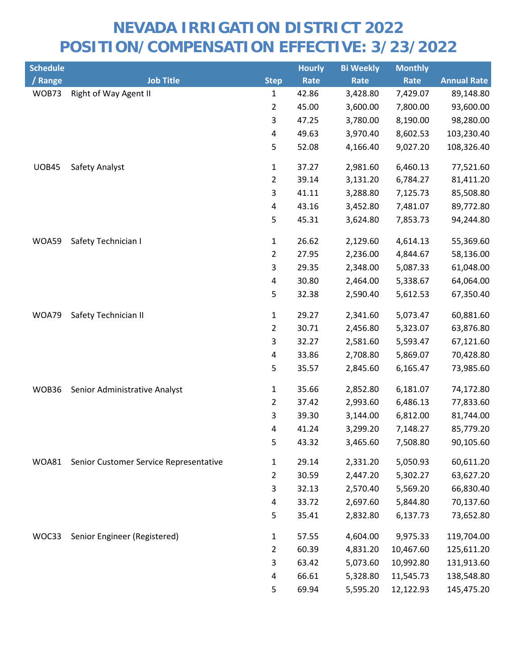| <b>Schedule</b> |                                        |                | <b>Hourly</b> | <b>Bi Weekly</b> | <b>Monthly</b> |                    |
|-----------------|----------------------------------------|----------------|---------------|------------------|----------------|--------------------|
| / Range         | <b>Job Title</b>                       | <b>Step</b>    | Rate          | <b>Rate</b>      | Rate           | <b>Annual Rate</b> |
| WOB73           | Right of Way Agent II                  | 1              | 42.86         | 3,428.80         | 7,429.07       | 89,148.80          |
|                 |                                        | $\overline{2}$ | 45.00         | 3,600.00         | 7,800.00       | 93,600.00          |
|                 |                                        | 3              | 47.25         | 3,780.00         | 8,190.00       | 98,280.00          |
|                 |                                        | $\pmb{4}$      | 49.63         | 3,970.40         | 8,602.53       | 103,230.40         |
|                 |                                        | 5              | 52.08         | 4,166.40         | 9,027.20       | 108,326.40         |
| <b>UOB45</b>    | Safety Analyst                         | $\mathbf{1}$   | 37.27         | 2,981.60         | 6,460.13       | 77,521.60          |
|                 |                                        | $\overline{2}$ | 39.14         | 3,131.20         | 6,784.27       | 81,411.20          |
|                 |                                        | 3              | 41.11         | 3,288.80         | 7,125.73       | 85,508.80          |
|                 |                                        | 4              | 43.16         | 3,452.80         | 7,481.07       | 89,772.80          |
|                 |                                        | 5              | 45.31         | 3,624.80         | 7,853.73       | 94,244.80          |
| WOA59           | Safety Technician I                    | $\mathbf{1}$   | 26.62         | 2,129.60         | 4,614.13       | 55,369.60          |
|                 |                                        | $\overline{2}$ | 27.95         | 2,236.00         | 4,844.67       | 58,136.00          |
|                 |                                        | 3              | 29.35         | 2,348.00         | 5,087.33       | 61,048.00          |
|                 |                                        | 4              | 30.80         | 2,464.00         | 5,338.67       | 64,064.00          |
|                 |                                        | 5              | 32.38         | 2,590.40         | 5,612.53       | 67,350.40          |
| WOA79           | Safety Technician II                   | $\mathbf{1}$   | 29.27         | 2,341.60         | 5,073.47       | 60,881.60          |
|                 |                                        | $\overline{2}$ | 30.71         | 2,456.80         | 5,323.07       | 63,876.80          |
|                 |                                        | 3              | 32.27         | 2,581.60         | 5,593.47       | 67,121.60          |
|                 |                                        | 4              | 33.86         | 2,708.80         | 5,869.07       | 70,428.80          |
|                 |                                        | 5              | 35.57         | 2,845.60         | 6,165.47       | 73,985.60          |
| WOB36           | Senior Administrative Analyst          | $\mathbf{1}$   | 35.66         | 2,852.80         | 6,181.07       | 74,172.80          |
|                 |                                        | $\overline{2}$ | 37.42         | 2,993.60         | 6,486.13       | 77,833.60          |
|                 |                                        | 3              | 39.30         | 3,144.00         | 6,812.00       | 81,744.00          |
|                 |                                        | 4              | 41.24         | 3,299.20         | 7,148.27       | 85,779.20          |
|                 |                                        | 5              | 43.32         | 3,465.60         | 7,508.80       | 90,105.60          |
| WOA81           | Senior Customer Service Representative | $\mathbf{1}$   | 29.14         | 2,331.20         | 5,050.93       | 60,611.20          |
|                 |                                        | $\overline{2}$ | 30.59         | 2,447.20         | 5,302.27       | 63,627.20          |
|                 |                                        | 3              | 32.13         | 2,570.40         | 5,569.20       | 66,830.40          |
|                 |                                        | 4              | 33.72         | 2,697.60         | 5,844.80       | 70,137.60          |
|                 |                                        | 5              | 35.41         | 2,832.80         | 6,137.73       | 73,652.80          |
| WOC33           | Senior Engineer (Registered)           | $\mathbf{1}$   | 57.55         | 4,604.00         | 9,975.33       | 119,704.00         |
|                 |                                        | $\overline{2}$ | 60.39         | 4,831.20         | 10,467.60      | 125,611.20         |
|                 |                                        | 3              | 63.42         | 5,073.60         | 10,992.80      | 131,913.60         |
|                 |                                        | 4              | 66.61         | 5,328.80         | 11,545.73      | 138,548.80         |
|                 |                                        | 5              | 69.94         | 5,595.20         | 12,122.93      | 145,475.20         |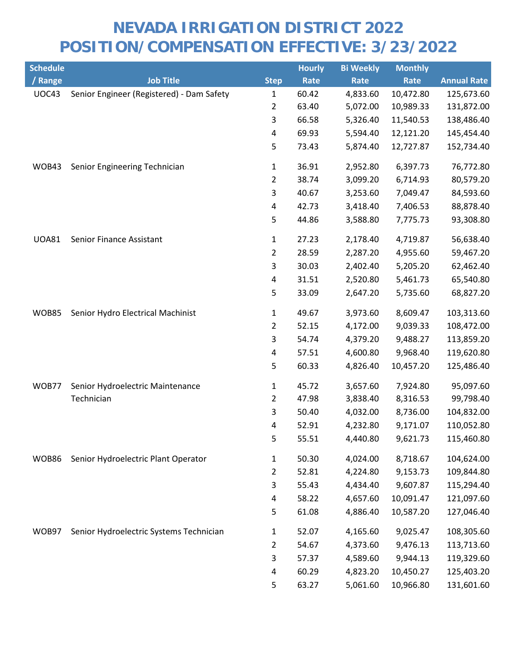| <b>Schedule</b> |                                           |                | <b>Hourly</b> | <b>Bi Weekly</b> | <b>Monthly</b> |                    |
|-----------------|-------------------------------------------|----------------|---------------|------------------|----------------|--------------------|
| / Range         | <b>Job Title</b>                          | <b>Step</b>    | Rate          | Rate             | Rate           | <b>Annual Rate</b> |
| UOC43           | Senior Engineer (Registered) - Dam Safety | $\mathbf{1}$   | 60.42         | 4,833.60         | 10,472.80      | 125,673.60         |
|                 |                                           | $\overline{2}$ | 63.40         | 5,072.00         | 10,989.33      | 131,872.00         |
|                 |                                           | 3              | 66.58         | 5,326.40         | 11,540.53      | 138,486.40         |
|                 |                                           | 4              | 69.93         | 5,594.40         | 12,121.20      | 145,454.40         |
|                 |                                           | 5              | 73.43         | 5,874.40         | 12,727.87      | 152,734.40         |
| WOB43           | Senior Engineering Technician             | $\mathbf{1}$   | 36.91         | 2,952.80         | 6,397.73       | 76,772.80          |
|                 |                                           | $\overline{2}$ | 38.74         | 3,099.20         | 6,714.93       | 80,579.20          |
|                 |                                           | 3              | 40.67         | 3,253.60         | 7,049.47       | 84,593.60          |
|                 |                                           | 4              | 42.73         | 3,418.40         | 7,406.53       | 88,878.40          |
|                 |                                           | 5              | 44.86         | 3,588.80         | 7,775.73       | 93,308.80          |
| <b>UOA81</b>    | Senior Finance Assistant                  | $\mathbf{1}$   | 27.23         | 2,178.40         | 4,719.87       | 56,638.40          |
|                 |                                           | $\overline{2}$ | 28.59         | 2,287.20         | 4,955.60       | 59,467.20          |
|                 |                                           | 3              | 30.03         | 2,402.40         | 5,205.20       | 62,462.40          |
|                 |                                           | 4              | 31.51         | 2,520.80         | 5,461.73       | 65,540.80          |
|                 |                                           | 5              | 33.09         | 2,647.20         | 5,735.60       | 68,827.20          |
| <b>WOB85</b>    | Senior Hydro Electrical Machinist         | $\mathbf{1}$   | 49.67         | 3,973.60         | 8,609.47       | 103,313.60         |
|                 |                                           | $\overline{2}$ | 52.15         | 4,172.00         | 9,039.33       | 108,472.00         |
|                 |                                           | 3              | 54.74         | 4,379.20         | 9,488.27       | 113,859.20         |
|                 |                                           | 4              | 57.51         | 4,600.80         | 9,968.40       | 119,620.80         |
|                 |                                           | 5              | 60.33         | 4,826.40         | 10,457.20      | 125,486.40         |
| WOB77           | Senior Hydroelectric Maintenance          | $\mathbf{1}$   | 45.72         | 3,657.60         | 7,924.80       | 95,097.60          |
|                 | Technician                                | $\overline{2}$ | 47.98         | 3,838.40         | 8,316.53       | 99,798.40          |
|                 |                                           | 3              | 50.40         | 4,032.00         | 8,736.00       | 104,832.00         |
|                 |                                           | 4              | 52.91         | 4,232.80         | 9,171.07       | 110,052.80         |
|                 |                                           | 5              | 55.51         | 4,440.80         | 9,621.73       | 115,460.80         |
| WOB86           | Senior Hydroelectric Plant Operator       | $\mathbf{1}$   | 50.30         | 4,024.00         | 8,718.67       | 104,624.00         |
|                 |                                           | $\overline{2}$ | 52.81         | 4,224.80         | 9,153.73       | 109,844.80         |
|                 |                                           | 3              | 55.43         | 4,434.40         | 9,607.87       | 115,294.40         |
|                 |                                           | 4              | 58.22         | 4,657.60         | 10,091.47      | 121,097.60         |
|                 |                                           | 5              | 61.08         | 4,886.40         | 10,587.20      | 127,046.40         |
| WOB97           | Senior Hydroelectric Systems Technician   | $\mathbf{1}$   | 52.07         | 4,165.60         | 9,025.47       | 108,305.60         |
|                 |                                           | 2              | 54.67         | 4,373.60         | 9,476.13       | 113,713.60         |
|                 |                                           | 3              | 57.37         | 4,589.60         | 9,944.13       | 119,329.60         |
|                 |                                           | 4              | 60.29         | 4,823.20         | 10,450.27      | 125,403.20         |
|                 |                                           | 5              | 63.27         | 5,061.60         | 10,966.80      | 131,601.60         |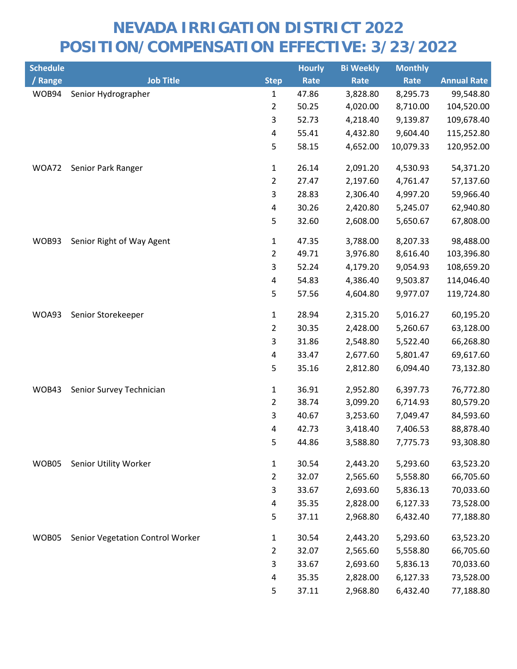| <b>Schedule</b> |                                  |                         | <b>Hourly</b> | <b>Bi Weekly</b> | <b>Monthly</b> |                    |
|-----------------|----------------------------------|-------------------------|---------------|------------------|----------------|--------------------|
| / Range         | <b>Job Title</b>                 | <b>Step</b>             | Rate          | Rate             | Rate           | <b>Annual Rate</b> |
| WOB94           | Senior Hydrographer              | $\mathbf{1}$            | 47.86         | 3,828.80         | 8,295.73       | 99,548.80          |
|                 |                                  | $\overline{2}$          | 50.25         | 4,020.00         | 8,710.00       | 104,520.00         |
|                 |                                  | 3                       | 52.73         | 4,218.40         | 9,139.87       | 109,678.40         |
|                 |                                  | $\pmb{4}$               | 55.41         | 4,432.80         | 9,604.40       | 115,252.80         |
|                 |                                  | 5                       | 58.15         | 4,652.00         | 10,079.33      | 120,952.00         |
| WOA72           | Senior Park Ranger               | $\mathbf{1}$            | 26.14         | 2,091.20         | 4,530.93       | 54,371.20          |
|                 |                                  | $\overline{2}$          | 27.47         | 2,197.60         | 4,761.47       | 57,137.60          |
|                 |                                  | 3                       | 28.83         | 2,306.40         | 4,997.20       | 59,966.40          |
|                 |                                  | $\overline{\mathbf{4}}$ | 30.26         | 2,420.80         | 5,245.07       | 62,940.80          |
|                 |                                  | 5                       | 32.60         | 2,608.00         | 5,650.67       | 67,808.00          |
| WOB93           | Senior Right of Way Agent        | $\mathbf{1}$            | 47.35         | 3,788.00         | 8,207.33       | 98,488.00          |
|                 |                                  | $\overline{2}$          | 49.71         | 3,976.80         | 8,616.40       | 103,396.80         |
|                 |                                  | 3                       | 52.24         | 4,179.20         | 9,054.93       | 108,659.20         |
|                 |                                  | 4                       | 54.83         | 4,386.40         | 9,503.87       | 114,046.40         |
|                 |                                  | 5                       | 57.56         | 4,604.80         | 9,977.07       | 119,724.80         |
| WOA93           | Senior Storekeeper               | 1                       | 28.94         | 2,315.20         | 5,016.27       | 60,195.20          |
|                 |                                  | $\overline{2}$          | 30.35         | 2,428.00         | 5,260.67       | 63,128.00          |
|                 |                                  | 3                       | 31.86         | 2,548.80         | 5,522.40       | 66,268.80          |
|                 |                                  | 4                       | 33.47         | 2,677.60         | 5,801.47       | 69,617.60          |
|                 |                                  | 5                       | 35.16         | 2,812.80         | 6,094.40       | 73,132.80          |
| WOB43           | Senior Survey Technician         | $\mathbf 1$             | 36.91         | 2,952.80         | 6,397.73       | 76,772.80          |
|                 |                                  | $\overline{2}$          | 38.74         | 3,099.20         | 6,714.93       | 80,579.20          |
|                 |                                  | 3                       | 40.67         | 3,253.60         | 7,049.47       | 84,593.60          |
|                 |                                  | 4                       | 42.73         | 3,418.40         | 7,406.53       | 88,878.40          |
|                 |                                  | 5                       | 44.86         | 3,588.80         | 7,775.73       | 93,308.80          |
| WOB05           | Senior Utility Worker            | $\mathbf{1}$            | 30.54         | 2,443.20         | 5,293.60       | 63,523.20          |
|                 |                                  | $\overline{2}$          | 32.07         | 2,565.60         | 5,558.80       | 66,705.60          |
|                 |                                  | 3                       | 33.67         | 2,693.60         | 5,836.13       | 70,033.60          |
|                 |                                  | 4                       | 35.35         | 2,828.00         | 6,127.33       | 73,528.00          |
|                 |                                  | 5                       | 37.11         | 2,968.80         | 6,432.40       | 77,188.80          |
| WOB05           | Senior Vegetation Control Worker | $\mathbf{1}$            | 30.54         | 2,443.20         | 5,293.60       | 63,523.20          |
|                 |                                  | $\overline{2}$          | 32.07         | 2,565.60         | 5,558.80       | 66,705.60          |
|                 |                                  | 3                       | 33.67         | 2,693.60         | 5,836.13       | 70,033.60          |
|                 |                                  | 4                       | 35.35         | 2,828.00         | 6,127.33       | 73,528.00          |
|                 |                                  | 5                       | 37.11         | 2,968.80         | 6,432.40       | 77,188.80          |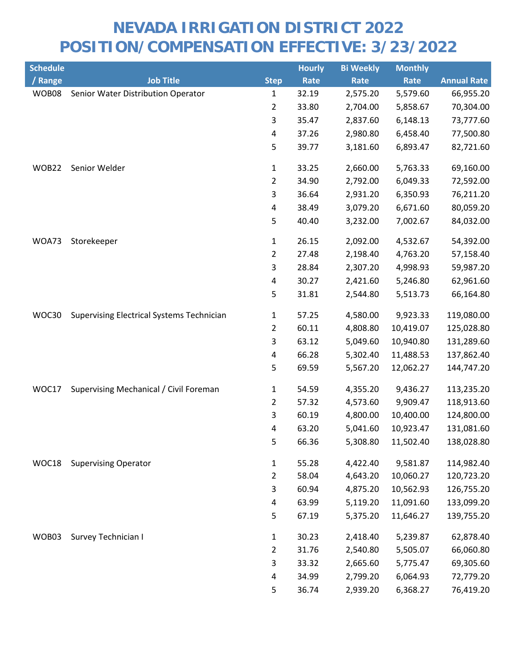| <b>Schedule</b> |                                                  |                         | <b>Hourly</b> | <b>Bi Weekly</b> | <b>Monthly</b> |                    |
|-----------------|--------------------------------------------------|-------------------------|---------------|------------------|----------------|--------------------|
| / Range         | <b>Job Title</b>                                 | <b>Step</b>             | Rate          | Rate             | Rate           | <b>Annual Rate</b> |
| WOB08           | Senior Water Distribution Operator               | $\mathbf{1}$            | 32.19         | 2,575.20         | 5,579.60       | 66,955.20          |
|                 |                                                  | $\overline{2}$          | 33.80         | 2,704.00         | 5,858.67       | 70,304.00          |
|                 |                                                  | 3                       | 35.47         | 2,837.60         | 6,148.13       | 73,777.60          |
|                 |                                                  | 4                       | 37.26         | 2,980.80         | 6,458.40       | 77,500.80          |
|                 |                                                  | 5                       | 39.77         | 3,181.60         | 6,893.47       | 82,721.60          |
| WOB22           | Senior Welder                                    | $\mathbf{1}$            | 33.25         | 2,660.00         | 5,763.33       | 69,160.00          |
|                 |                                                  | $\overline{2}$          | 34.90         | 2,792.00         | 6,049.33       | 72,592.00          |
|                 |                                                  | 3                       | 36.64         | 2,931.20         | 6,350.93       | 76,211.20          |
|                 |                                                  | $\overline{\mathbf{4}}$ | 38.49         | 3,079.20         | 6,671.60       | 80,059.20          |
|                 |                                                  | 5                       | 40.40         | 3,232.00         | 7,002.67       | 84,032.00          |
| WOA73           | Storekeeper                                      | $\mathbf{1}$            | 26.15         | 2,092.00         | 4,532.67       | 54,392.00          |
|                 |                                                  | $\overline{2}$          | 27.48         | 2,198.40         | 4,763.20       | 57,158.40          |
|                 |                                                  | 3                       | 28.84         | 2,307.20         | 4,998.93       | 59,987.20          |
|                 |                                                  | $\overline{\mathbf{4}}$ | 30.27         | 2,421.60         | 5,246.80       | 62,961.60          |
|                 |                                                  | 5                       | 31.81         | 2,544.80         | 5,513.73       | 66,164.80          |
| WOC30           | <b>Supervising Electrical Systems Technician</b> | $\mathbf{1}$            | 57.25         | 4,580.00         | 9,923.33       | 119,080.00         |
|                 |                                                  | $\overline{2}$          | 60.11         | 4,808.80         | 10,419.07      | 125,028.80         |
|                 |                                                  | 3                       | 63.12         | 5,049.60         | 10,940.80      | 131,289.60         |
|                 |                                                  | $\overline{\mathbf{4}}$ | 66.28         | 5,302.40         | 11,488.53      | 137,862.40         |
|                 |                                                  | 5                       | 69.59         | 5,567.20         | 12,062.27      | 144,747.20         |
| WOC17           | Supervising Mechanical / Civil Foreman           | $\mathbf{1}$            | 54.59         | 4,355.20         | 9,436.27       | 113,235.20         |
|                 |                                                  | $\overline{2}$          | 57.32         | 4,573.60         | 9,909.47       | 118,913.60         |
|                 |                                                  | 3                       | 60.19         | 4,800.00         | 10,400.00      | 124,800.00         |
|                 |                                                  | 4                       | 63.20         | 5,041.60         | 10,923.47      | 131,081.60         |
|                 |                                                  | 5                       | 66.36         | 5,308.80         | 11,502.40      | 138,028.80         |
| WOC18           | <b>Supervising Operator</b>                      | $\mathbf{1}$            | 55.28         | 4,422.40         | 9,581.87       | 114,982.40         |
|                 |                                                  | $\overline{2}$          | 58.04         | 4,643.20         | 10,060.27      | 120,723.20         |
|                 |                                                  | 3                       | 60.94         | 4,875.20         | 10,562.93      | 126,755.20         |
|                 |                                                  | 4                       | 63.99         | 5,119.20         | 11,091.60      | 133,099.20         |
|                 |                                                  | 5                       | 67.19         | 5,375.20         | 11,646.27      | 139,755.20         |
| WOB03           | Survey Technician I                              | $\mathbf{1}$            | 30.23         | 2,418.40         | 5,239.87       | 62,878.40          |
|                 |                                                  | $\overline{2}$          | 31.76         | 2,540.80         | 5,505.07       | 66,060.80          |
|                 |                                                  | 3                       | 33.32         | 2,665.60         | 5,775.47       | 69,305.60          |
|                 |                                                  | 4                       | 34.99         | 2,799.20         | 6,064.93       | 72,779.20          |
|                 |                                                  | 5                       | 36.74         | 2,939.20         | 6,368.27       | 76,419.20          |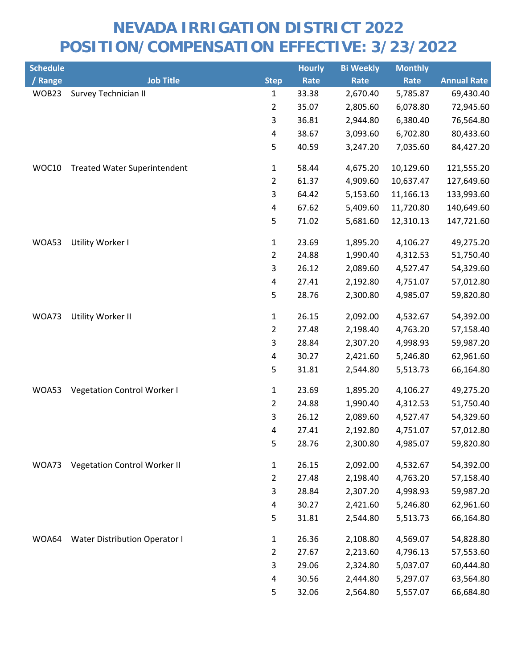| <b>Schedule</b> |                                      |                         | <b>Hourly</b> | <b>Bi Weekly</b> | <b>Monthly</b> |                    |
|-----------------|--------------------------------------|-------------------------|---------------|------------------|----------------|--------------------|
| / Range         | <b>Job Title</b>                     | <b>Step</b>             | Rate          | Rate             | Rate           | <b>Annual Rate</b> |
| WOB23           | Survey Technician II                 | $\mathbf{1}$            | 33.38         | 2,670.40         | 5,785.87       | 69,430.40          |
|                 |                                      | $\overline{2}$          | 35.07         | 2,805.60         | 6,078.80       | 72,945.60          |
|                 |                                      | 3                       | 36.81         | 2,944.80         | 6,380.40       | 76,564.80          |
|                 |                                      | $\overline{\mathbf{4}}$ | 38.67         | 3,093.60         | 6,702.80       | 80,433.60          |
|                 |                                      | 5                       | 40.59         | 3,247.20         | 7,035.60       | 84,427.20          |
| WOC10           | <b>Treated Water Superintendent</b>  | $\mathbf{1}$            | 58.44         | 4,675.20         | 10,129.60      | 121,555.20         |
|                 |                                      | $\overline{2}$          | 61.37         | 4,909.60         | 10,637.47      | 127,649.60         |
|                 |                                      | 3                       | 64.42         | 5,153.60         | 11,166.13      | 133,993.60         |
|                 |                                      | $\overline{\mathbf{4}}$ | 67.62         | 5,409.60         | 11,720.80      | 140,649.60         |
|                 |                                      | 5                       | 71.02         | 5,681.60         | 12,310.13      | 147,721.60         |
| WOA53           | Utility Worker I                     | $\mathbf{1}$            | 23.69         | 1,895.20         | 4,106.27       | 49,275.20          |
|                 |                                      | $\overline{2}$          | 24.88         | 1,990.40         | 4,312.53       | 51,750.40          |
|                 |                                      | 3                       | 26.12         | 2,089.60         | 4,527.47       | 54,329.60          |
|                 |                                      | $\pmb{4}$               | 27.41         | 2,192.80         | 4,751.07       | 57,012.80          |
|                 |                                      | 5                       | 28.76         | 2,300.80         | 4,985.07       | 59,820.80          |
| WOA73           | Utility Worker II                    | $\mathbf{1}$            | 26.15         | 2,092.00         | 4,532.67       | 54,392.00          |
|                 |                                      | $\overline{2}$          | 27.48         | 2,198.40         | 4,763.20       | 57,158.40          |
|                 |                                      | 3                       | 28.84         | 2,307.20         | 4,998.93       | 59,987.20          |
|                 |                                      | $\overline{\mathbf{4}}$ | 30.27         | 2,421.60         | 5,246.80       | 62,961.60          |
|                 |                                      | 5                       | 31.81         | 2,544.80         | 5,513.73       | 66,164.80          |
| WOA53           | Vegetation Control Worker I          | $\mathbf{1}$            | 23.69         | 1,895.20         | 4,106.27       | 49,275.20          |
|                 |                                      | $\overline{2}$          | 24.88         | 1,990.40         | 4,312.53       | 51,750.40          |
|                 |                                      | 3                       | 26.12         | 2,089.60         | 4,527.47       | 54,329.60          |
|                 |                                      | 4                       | 27.41         | 2,192.80         | 4,751.07       | 57,012.80          |
|                 |                                      | 5                       | 28.76         | 2,300.80         | 4,985.07       | 59,820.80          |
| WOA73           | <b>Vegetation Control Worker II</b>  | $\mathbf{1}$            | 26.15         | 2,092.00         | 4,532.67       | 54,392.00          |
|                 |                                      | $\overline{2}$          | 27.48         | 2,198.40         | 4,763.20       | 57,158.40          |
|                 |                                      | 3                       | 28.84         | 2,307.20         | 4,998.93       | 59,987.20          |
|                 |                                      | 4                       | 30.27         | 2,421.60         | 5,246.80       | 62,961.60          |
|                 |                                      | 5                       | 31.81         | 2,544.80         | 5,513.73       | 66,164.80          |
| WOA64           | <b>Water Distribution Operator I</b> | $\mathbf{1}$            | 26.36         | 2,108.80         | 4,569.07       | 54,828.80          |
|                 |                                      | $\overline{2}$          | 27.67         | 2,213.60         | 4,796.13       | 57,553.60          |
|                 |                                      | 3                       | 29.06         | 2,324.80         | 5,037.07       | 60,444.80          |
|                 |                                      | 4                       | 30.56         | 2,444.80         | 5,297.07       | 63,564.80          |
|                 |                                      | 5                       | 32.06         | 2,564.80         | 5,557.07       | 66,684.80          |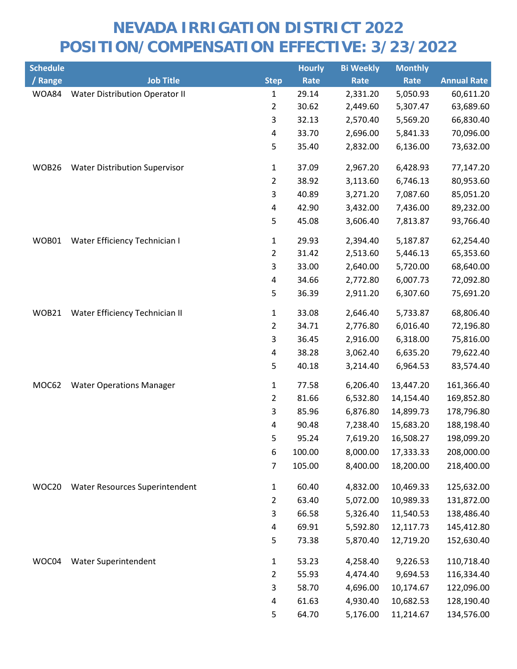| <b>Schedule</b> |                                       |                         | <b>Hourly</b> | <b>Bi Weekly</b> | <b>Monthly</b> |                    |
|-----------------|---------------------------------------|-------------------------|---------------|------------------|----------------|--------------------|
| / Range         | <b>Job Title</b>                      | <b>Step</b>             | Rate          | Rate             | Rate           | <b>Annual Rate</b> |
| WOA84           | <b>Water Distribution Operator II</b> | 1                       | 29.14         | 2,331.20         | 5,050.93       | 60,611.20          |
|                 |                                       | $\overline{2}$          | 30.62         | 2,449.60         | 5,307.47       | 63,689.60          |
|                 |                                       | 3                       | 32.13         | 2,570.40         | 5,569.20       | 66,830.40          |
|                 |                                       | 4                       | 33.70         | 2,696.00         | 5,841.33       | 70,096.00          |
|                 |                                       | 5                       | 35.40         | 2,832.00         | 6,136.00       | 73,632.00          |
| WOB26           | <b>Water Distribution Supervisor</b>  | $\mathbf 1$             | 37.09         | 2,967.20         | 6,428.93       | 77,147.20          |
|                 |                                       | $\overline{2}$          | 38.92         | 3,113.60         | 6,746.13       | 80,953.60          |
|                 |                                       | 3                       | 40.89         | 3,271.20         | 7,087.60       | 85,051.20          |
|                 |                                       | 4                       | 42.90         | 3,432.00         | 7,436.00       | 89,232.00          |
|                 |                                       | 5                       | 45.08         | 3,606.40         | 7,813.87       | 93,766.40          |
| WOB01           | Water Efficiency Technician I         | 1                       | 29.93         | 2,394.40         | 5,187.87       | 62,254.40          |
|                 |                                       | $\overline{2}$          | 31.42         | 2,513.60         | 5,446.13       | 65,353.60          |
|                 |                                       | $\mathsf{3}$            | 33.00         | 2,640.00         | 5,720.00       | 68,640.00          |
|                 |                                       | $\overline{\mathbf{4}}$ | 34.66         | 2,772.80         | 6,007.73       | 72,092.80          |
|                 |                                       | 5                       | 36.39         | 2,911.20         | 6,307.60       | 75,691.20          |
| WOB21           | Water Efficiency Technician II        | 1                       | 33.08         | 2,646.40         | 5,733.87       | 68,806.40          |
|                 |                                       | $\overline{2}$          | 34.71         | 2,776.80         | 6,016.40       | 72,196.80          |
|                 |                                       | 3                       | 36.45         | 2,916.00         | 6,318.00       | 75,816.00          |
|                 |                                       | 4                       | 38.28         | 3,062.40         | 6,635.20       | 79,622.40          |
|                 |                                       | 5                       | 40.18         | 3,214.40         | 6,964.53       | 83,574.40          |
| MOC62           | <b>Water Operations Manager</b>       | $\mathbf 1$             | 77.58         | 6,206.40         | 13,447.20      | 161,366.40         |
|                 |                                       | $\overline{2}$          | 81.66         | 6,532.80         | 14,154.40      | 169,852.80         |
|                 |                                       | 3                       | 85.96         | 6,876.80         | 14,899.73      | 178,796.80         |
|                 |                                       | 4                       | 90.48         | 7,238.40         | 15,683.20      | 188,198.40         |
|                 |                                       | 5                       | 95.24         | 7,619.20         | 16,508.27      | 198,099.20         |
|                 |                                       | 6                       | 100.00        | 8,000.00         | 17,333.33      | 208,000.00         |
|                 |                                       | 7                       | 105.00        | 8,400.00         | 18,200.00      | 218,400.00         |
| WOC20           | Water Resources Superintendent        | $\mathbf{1}$            | 60.40         | 4,832.00         | 10,469.33      | 125,632.00         |
|                 |                                       | $\overline{2}$          | 63.40         | 5,072.00         | 10,989.33      | 131,872.00         |
|                 |                                       | 3                       | 66.58         | 5,326.40         | 11,540.53      | 138,486.40         |
|                 |                                       | 4                       | 69.91         | 5,592.80         | 12,117.73      | 145,412.80         |
|                 |                                       | 5                       | 73.38         | 5,870.40         | 12,719.20      | 152,630.40         |
| WOC04           | Water Superintendent                  | $\mathbf{1}$            | 53.23         | 4,258.40         | 9,226.53       | 110,718.40         |
|                 |                                       | $\overline{2}$          | 55.93         | 4,474.40         | 9,694.53       | 116,334.40         |
|                 |                                       | 3                       | 58.70         | 4,696.00         | 10,174.67      | 122,096.00         |
|                 |                                       | 4                       | 61.63         | 4,930.40         | 10,682.53      | 128,190.40         |
|                 |                                       | 5                       | 64.70         | 5,176.00         | 11,214.67      | 134,576.00         |